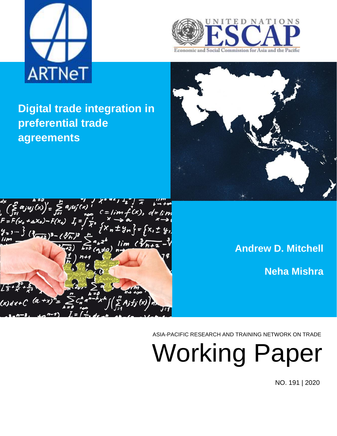



**Digital trade integration in preferential trade agreements**



 $\left(\sum_{j=1}^{d} a_j u_j(x)\right)' = \sum_{j=1}^{d} a_j u_j(x)$ <br> $F = F(x_0 + \Delta x_0) - F(x_0)$   $I_i = \int f(x_0 + \Delta x_0) dx$  $x + 4n$   $y = x + 1$  $lim$   $\ell\sqrt[3]{h+1}$ 

**Andrew D. Mitchell Neha Mishra**

ASIA-PACIFIC RESEARCH AND TRAINING NETWORK ON TRADE

Working Paper

NO. 191 | 2020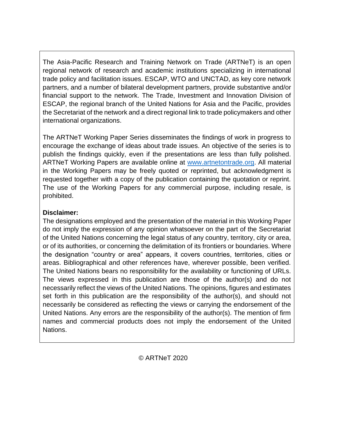The Asia-Pacific Research and Training Network on Trade (ARTNeT) is an open regional network of research and academic institutions specializing in international trade policy and facilitation issues. ESCAP, WTO and UNCTAD, as key core network partners, and a number of bilateral development partners, provide substantive and/or financial support to the network. The Trade, Investment and Innovation Division of ESCAP, the regional branch of the United Nations for Asia and the Pacific, provides the Secretariat of the network and a direct regional link to trade policymakers and other international organizations.

The ARTNeT Working Paper Series disseminates the findings of work in progress to encourage the exchange of ideas about trade issues. An objective of the series is to publish the findings quickly, even if the presentations are less than fully polished. ARTNeT Working Papers are available online at [www.artnetontrade.org.](http://www.artnetontrade.org/) All material in the Working Papers may be freely quoted or reprinted, but acknowledgment is requested together with a copy of the publication containing the quotation or reprint. The use of the Working Papers for any commercial purpose, including resale, is prohibited.

#### **Disclaimer:**

The designations employed and the presentation of the material in this Working Paper do not imply the expression of any opinion whatsoever on the part of the Secretariat of the United Nations concerning the legal status of any country, territory, city or area, or of its authorities, or concerning the delimitation of its frontiers or boundaries. Where the designation "country or area" appears, it covers countries, territories, cities or areas. Bibliographical and other references have, wherever possible, been verified. The United Nations bears no responsibility for the availability or functioning of URLs. The views expressed in this publication are those of the author(s) and do not necessarily reflect the views of the United Nations. The opinions, figures and estimates set forth in this publication are the responsibility of the author(s), and should not necessarily be considered as reflecting the views or carrying the endorsement of the United Nations. Any errors are the responsibility of the author(s). The mention of firm names and commercial products does not imply the endorsement of the United Nations.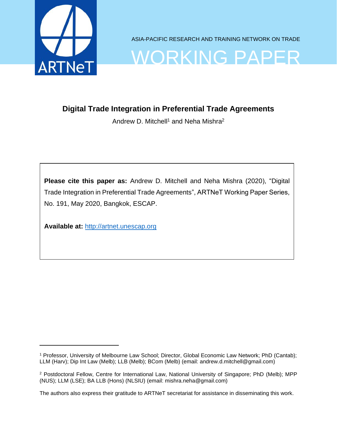

ASIA-PACIFIC RESEARCH AND TRAINING NETWORK ON TRADE

# WORKING PAPER

## **Digital Trade Integration in Preferential Trade Agreements**

Andrew D. Mitchell<sup>1</sup> and Neha Mishra<sup>2</sup>

**Please cite this paper as:** Andrew D. Mitchell and Neha Mishra (2020), "Digital Trade Integration in Preferential Trade Agreements", ARTNeT Working Paper Series, No. 191, May 2020, Bangkok, ESCAP.

**Available at:** [http://artnet.unescap.org](http://artnet.unescap.org/)

<sup>1</sup> Professor, University of Melbourne Law School; Director, Global Economic Law Network; PhD (Cantab); LLM (Harv); Dip Int Law (Melb); LLB (Melb); BCom (Melb) (email: andrew.d.mitchell@gmail.com)

<sup>2</sup> Postdoctoral Fellow, Centre for International Law, National University of Singapore; PhD (Melb); MPP (NUS); LLM (LSE); BA LLB (Hons) (NLSIU) (email: mishra.neha@gmail.com)

The authors also express their gratitude to ARTNeT secretariat for assistance in disseminating this work.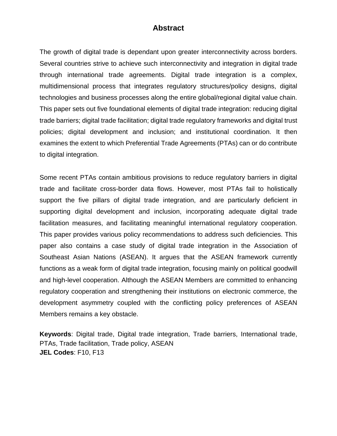#### **Abstract**

The growth of digital trade is dependant upon greater interconnectivity across borders. Several countries strive to achieve such interconnectivity and integration in digital trade through international trade agreements. Digital trade integration is a complex, multidimensional process that integrates regulatory structures/policy designs, digital technologies and business processes along the entire global/regional digital value chain. This paper sets out five foundational elements of digital trade integration: reducing digital trade barriers; digital trade facilitation; digital trade regulatory frameworks and digital trust policies; digital development and inclusion; and institutional coordination. It then examines the extent to which Preferential Trade Agreements (PTAs) can or do contribute to digital integration.

Some recent PTAs contain ambitious provisions to reduce regulatory barriers in digital trade and facilitate cross-border data flows. However, most PTAs fail to holistically support the five pillars of digital trade integration, and are particularly deficient in supporting digital development and inclusion, incorporating adequate digital trade facilitation measures, and facilitating meaningful international regulatory cooperation. This paper provides various policy recommendations to address such deficiencies. This paper also contains a case study of digital trade integration in the Association of Southeast Asian Nations (ASEAN). It argues that the ASEAN framework currently functions as a weak form of digital trade integration, focusing mainly on political goodwill and high-level cooperation. Although the ASEAN Members are committed to enhancing regulatory cooperation and strengthening their institutions on electronic commerce, the development asymmetry coupled with the conflicting policy preferences of ASEAN Members remains a key obstacle.

**Keywords**: Digital trade, Digital trade integration, Trade barriers, International trade, PTAs, Trade facilitation, Trade policy, ASEAN **JEL Codes**: F10, F13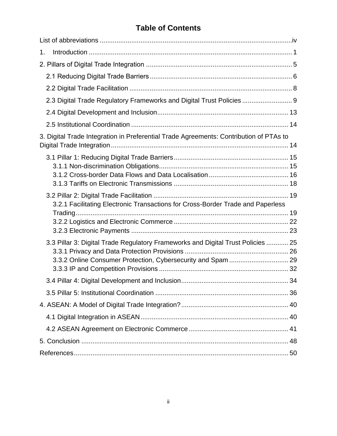# **Table of Contents**

| 1.                                                                                     |  |
|----------------------------------------------------------------------------------------|--|
|                                                                                        |  |
|                                                                                        |  |
|                                                                                        |  |
| 2.3 Digital Trade Regulatory Frameworks and Digital Trust Policies  9                  |  |
|                                                                                        |  |
|                                                                                        |  |
| 3. Digital Trade Integration in Preferential Trade Agreements: Contribution of PTAs to |  |
|                                                                                        |  |
|                                                                                        |  |
|                                                                                        |  |
| 3.2.1 Facilitating Electronic Transactions for Cross-Border Trade and Paperless        |  |
|                                                                                        |  |
|                                                                                        |  |
| 3.3 Pillar 3: Digital Trade Regulatory Frameworks and Digital Trust Policies  25       |  |
|                                                                                        |  |
|                                                                                        |  |
|                                                                                        |  |
|                                                                                        |  |
|                                                                                        |  |
|                                                                                        |  |
|                                                                                        |  |
|                                                                                        |  |
|                                                                                        |  |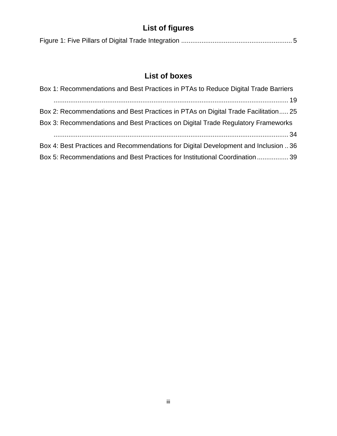# **List of figures**

|--|--|--|--|

# **List of boxes**

<span id="page-5-0"></span>

| Box 1: Recommendations and Best Practices in PTAs to Reduce Digital Trade Barriers |
|------------------------------------------------------------------------------------|
|                                                                                    |
| Box 2: Recommendations and Best Practices in PTAs on Digital Trade Facilitation 25 |
| Box 3: Recommendations and Best Practices on Digital Trade Regulatory Frameworks   |
|                                                                                    |
| Box 4: Best Practices and Recommendations for Digital Development and Inclusion 36 |
| Box 5: Recommendations and Best Practices for Institutional Coordination  39       |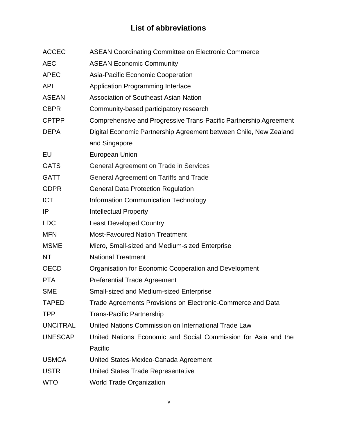# **List of abbreviations**

<span id="page-6-0"></span>

| <b>ACCEC</b>    | <b>ASEAN Coordinating Committee on Electronic Commerce</b>        |
|-----------------|-------------------------------------------------------------------|
| <b>AEC</b>      | <b>ASEAN Economic Community</b>                                   |
| <b>APEC</b>     | Asia-Pacific Economic Cooperation                                 |
| <b>API</b>      | <b>Application Programming Interface</b>                          |
| <b>ASEAN</b>    | <b>Association of Southeast Asian Nation</b>                      |
| <b>CBPR</b>     | Community-based participatory research                            |
| <b>CPTPP</b>    | Comprehensive and Progressive Trans-Pacific Partnership Agreement |
| <b>DEPA</b>     | Digital Economic Partnership Agreement between Chile, New Zealand |
|                 | and Singapore                                                     |
| EU              | European Union                                                    |
| <b>GATS</b>     | <b>General Agreement on Trade in Services</b>                     |
| <b>GATT</b>     | General Agreement on Tariffs and Trade                            |
| <b>GDPR</b>     | <b>General Data Protection Regulation</b>                         |
| <b>ICT</b>      | <b>Information Communication Technology</b>                       |
| IP              | <b>Intellectual Property</b>                                      |
| <b>LDC</b>      | <b>Least Developed Country</b>                                    |
| <b>MFN</b>      | <b>Most-Favoured Nation Treatment</b>                             |
| <b>MSME</b>     | Micro, Small-sized and Medium-sized Enterprise                    |
| ΝT              | <b>National Treatment</b>                                         |
| <b>OECD</b>     | Organisation for Economic Cooperation and Development             |
| <b>PTA</b>      | <b>Preferential Trade Agreement</b>                               |
| <b>SME</b>      | <b>Small-sized and Medium-sized Enterprise</b>                    |
| <b>TAPED</b>    | Trade Agreements Provisions on Electronic-Commerce and Data       |
| TPP             | <b>Trans-Pacific Partnership</b>                                  |
| <b>UNCITRAL</b> | United Nations Commission on International Trade Law              |
| <b>UNESCAP</b>  | United Nations Economic and Social Commission for Asia and the    |
|                 | Pacific                                                           |
| <b>USMCA</b>    | United States-Mexico-Canada Agreement                             |
| <b>USTR</b>     | United States Trade Representative                                |
| <b>WTO</b>      | <b>World Trade Organization</b>                                   |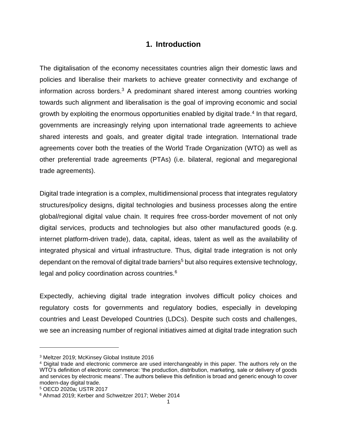#### **1. Introduction**

The digitalisation of the economy necessitates countries align their domestic laws and policies and liberalise their markets to achieve greater connectivity and exchange of information across borders.<sup>3</sup> A predominant shared interest among countries working towards such alignment and liberalisation is the goal of improving economic and social growth by exploiting the enormous opportunities enabled by digital trade.<sup>4</sup> In that regard, governments are increasingly relying upon international trade agreements to achieve shared interests and goals, and greater digital trade integration. International trade agreements cover both the treaties of the World Trade Organization (WTO) as well as other preferential trade agreements (PTAs) (i.e. bilateral, regional and megaregional trade agreements).

Digital trade integration is a complex, multidimensional process that integrates regulatory structures/policy designs, digital technologies and business processes along the entire global/regional digital value chain. It requires free cross-border movement of not only digital services, products and technologies but also other manufactured goods (e.g. internet platform-driven trade), data, capital, ideas, talent as well as the availability of integrated physical and virtual infrastructure. Thus, digital trade integration is not only dependant on the removal of digital trade barriers<sup>5</sup> but also requires extensive technology, legal and policy coordination across countries.<sup>6</sup>

Expectedly, achieving digital trade integration involves difficult policy choices and regulatory costs for governments and regulatory bodies, especially in developing countries and Least Developed Countries (LDCs). Despite such costs and challenges, we see an increasing number of regional initiatives aimed at digital trade integration such

<sup>3</sup> Meltzer 2019; McKinsey Global Institute 2016

<sup>4</sup> Digital trade and electronic commerce are used interchangeably in this paper. The authors rely on the WTO's definition of electronic commerce: 'the production, distribution, marketing, sale or delivery of goods and services by electronic means'. The authors believe this definition is broad and generic enough to cover modern-day digital trade.

<sup>5</sup> OECD 2020a; USTR 2017

<sup>6</sup> Ahmad 2019; Kerber and Schweitzer 2017; Weber 2014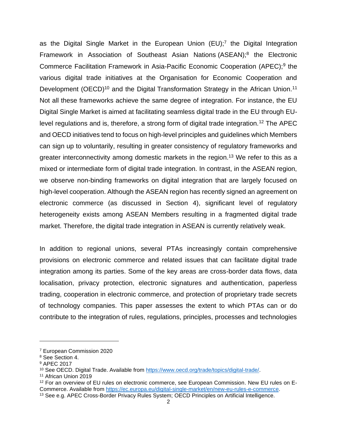as the Digital Single Market in the European Union (EU);<sup>7</sup> the Digital Integration Framework in Association of Southeast Asian Nations (ASEAN);<sup>8</sup> the Electronic Commerce Facilitation Framework in Asia-Pacific Economic Cooperation (APEC);<sup>9</sup> the various digital trade initiatives at the Organisation for Economic Cooperation and Development (OECD)<sup>10</sup> and the Digital Transformation Strategy in the African Union.<sup>11</sup> Not all these frameworks achieve the same degree of integration. For instance, the EU Digital Single Market is aimed at facilitating seamless digital trade in the EU through EUlevel regulations and is, therefore, a strong form of digital trade integration.<sup>12</sup> The APEC and OECD initiatives tend to focus on high-level principles and guidelines which Members can sign up to voluntarily, resulting in greater consistency of regulatory frameworks and greater interconnectivity among domestic markets in the region.<sup>13</sup> We refer to this as a mixed or intermediate form of digital trade integration. In contrast, in the ASEAN region, we observe non-binding frameworks on digital integration that are largely focused on high-level cooperation. Although the ASEAN region has recently signed an agreement on electronic commerce (as discussed in Section 4), significant level of regulatory heterogeneity exists among ASEAN Members resulting in a fragmented digital trade market. Therefore, the digital trade integration in ASEAN is currently relatively weak.

In addition to regional unions, several PTAs increasingly contain comprehensive provisions on electronic commerce and related issues that can facilitate digital trade integration among its parties. Some of the key areas are cross-border data flows, data localisation, privacy protection, electronic signatures and authentication, paperless trading, cooperation in electronic commerce, and protection of proprietary trade secrets of technology companies. This paper assesses the extent to which PTAs can or do contribute to the integration of rules, regulations, principles, processes and technologies

<sup>7</sup> European Commission 2020

<sup>8</sup> See Section 4.

<sup>9</sup> APEC 2017

<sup>&</sup>lt;sup>10</sup> See OECD. Digital Trade. Available from [https://www.oecd.org/trade/topics/digital-trade/.](https://www.oecd.org/trade/topics/digital-trade/)

<sup>11</sup> African Union 2019

<sup>&</sup>lt;sup>12</sup> For an overview of EU rules on electronic commerce, see European Commission. New EU rules on E-Commerce. Available from [https://ec.europa.eu/digital-single-market/en/new-eu-rules-e-commerce.](https://ec.europa.eu/digital-single-market/en/new-eu-rules-e-commerce)

<sup>13</sup> See e.g. APEC Cross-Border Privacy Rules System; OECD Principles on Artificial Intelligence.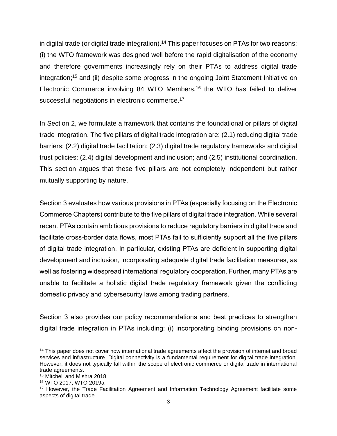in digital trade (or digital trade integration).<sup>14</sup> This paper focuses on PTAs for two reasons: (i) the WTO framework was designed well before the rapid digitalisation of the economy and therefore governments increasingly rely on their PTAs to address digital trade integration;<sup>15</sup> and (ii) despite some progress in the ongoing Joint Statement Initiative on Electronic Commerce involving 84 WTO Members,<sup>16</sup> the WTO has failed to deliver successful negotiations in electronic commerce.<sup>17</sup>

In Section 2, we formulate a framework that contains the foundational or pillars of digital trade integration. The five pillars of digital trade integration are: (2.1) reducing digital trade barriers; (2.2) digital trade facilitation; (2.3) digital trade regulatory frameworks and digital trust policies; (2.4) digital development and inclusion; and (2.5) institutional coordination. This section argues that these five pillars are not completely independent but rather mutually supporting by nature.

Section 3 evaluates how various provisions in PTAs (especially focusing on the Electronic Commerce Chapters) contribute to the five pillars of digital trade integration. While several recent PTAs contain ambitious provisions to reduce regulatory barriers in digital trade and facilitate cross-border data flows, most PTAs fail to sufficiently support all the five pillars of digital trade integration. In particular, existing PTAs are deficient in supporting digital development and inclusion, incorporating adequate digital trade facilitation measures, as well as fostering widespread international regulatory cooperation. Further, many PTAs are unable to facilitate a holistic digital trade regulatory framework given the conflicting domestic privacy and cybersecurity laws among trading partners.

Section 3 also provides our policy recommendations and best practices to strengthen digital trade integration in PTAs including: (i) incorporating binding provisions on non-

<sup>&</sup>lt;sup>14</sup> This paper does not cover how international trade agreements affect the provision of internet and broad services and infrastructure. Digital connectivity is a fundamental requirement for digital trade integration. However, it does not typically fall within the scope of electronic commerce or digital trade in international trade agreements.

<sup>15</sup> Mitchell and Mishra 2018

<sup>16</sup> WTO 2017; WTO 2019a

<sup>17</sup> However, the Trade Facilitation Agreement and Information Technology Agreement facilitate some aspects of digital trade.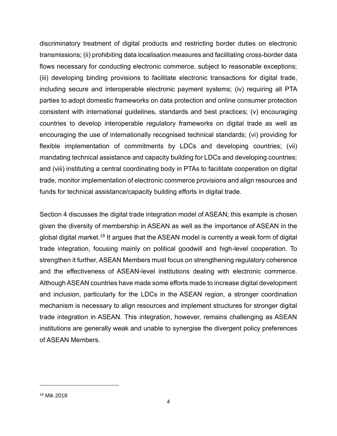discriminatory treatment of digital products and restricting border duties on electronic transmissions; (ii) prohibiting data localisation measures and facilitating cross-border data flows necessary for conducting electronic commerce, subject to reasonable exceptions; (iii) developing binding provisions to facilitate electronic transactions for digital trade, including secure and interoperable electronic payment systems; (iv) requiring all PTA parties to adopt domestic frameworks on data protection and online consumer protection consistent with international guidelines, standards and best practices; (v) encouraging countries to develop interoperable regulatory frameworks on digital trade as well as encouraging the use of internationally recognised technical standards; (vi) providing for flexible implementation of commitments by LDCs and developing countries; (vii) mandating technical assistance and capacity building for LDCs and developing countries; and (viii) instituting a central coordinating body in PTAs to facilitate cooperation on digital trade, monitor implementation of electronic commerce provisions and align resources and funds for technical assistance/capacity building efforts in digital trade.

Section 4 discusses the digital trade integration model of ASEAN; this example is chosen given the diversity of membership in ASEAN as well as the importance of ASEAN in the global digital market.<sup>18</sup> It argues that the ASEAN model is currently a weak form of digital trade integration, focusing mainly on political goodwill and high-level cooperation. To strengthen it further, ASEAN Members must focus on strengthening regulatory coherence and the effectiveness of ASEAN-level institutions dealing with electronic commerce. Although ASEAN countries have made some efforts made to increase digital development and inclusion, particularly for the LDCs in the ASEAN region, a stronger coordination mechanism is necessary to align resources and implement structures for stronger digital trade integration in ASEAN. This integration, however, remains challenging as ASEAN institutions are generally weak and unable to synergise the divergent policy preferences of ASEAN Members.

<sup>18</sup> Mik 2018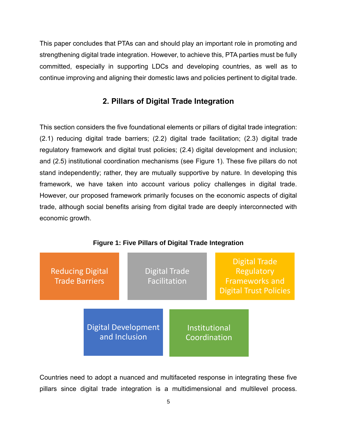This paper concludes that PTAs can and should play an important role in promoting and strengthening digital trade integration. However, to achieve this, PTA parties must be fully committed, especially in supporting LDCs and developing countries, as well as to continue improving and aligning their domestic laws and policies pertinent to digital trade.

#### **2. Pillars of Digital Trade Integration**

<span id="page-11-0"></span>This section considers the five foundational elements or pillars of digital trade integration: (2.1) reducing digital trade barriers; (2.2) digital trade facilitation; (2.3) digital trade regulatory framework and digital trust policies; (2.4) digital development and inclusion; and (2.5) institutional coordination mechanisms (see Figure 1). These five pillars do not stand independently; rather, they are mutually supportive by nature. In developing this framework, we have taken into account various policy challenges in digital trade. However, our proposed framework primarily focuses on the economic aspects of digital trade, although social benefits arising from digital trade are deeply interconnected with economic growth.

<span id="page-11-1"></span>

#### **Figure 1: Five Pillars of Digital Trade Integration**

Countries need to adopt a nuanced and multifaceted response in integrating these five pillars since digital trade integration is a multidimensional and multilevel process.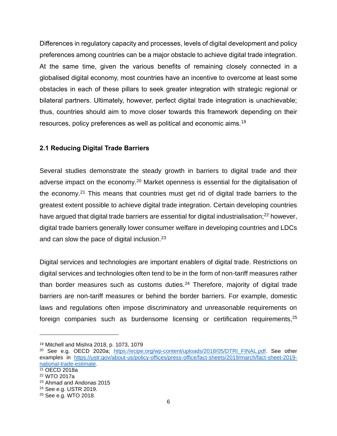Differences in regulatory capacity and processes, levels of digital development and policy preferences among countries can be a major obstacle to achieve digital trade integration. At the same time, given the various benefits of remaining closely connected in a globalised digital economy, most countries have an incentive to overcome at least some obstacles in each of these pillars to seek greater integration with strategic regional or bilateral partners. Ultimately, however, perfect digital trade integration is unachievable; thus, countries should aim to move closer towards this framework depending on their resources, policy preferences as well as political and economic aims.<sup>19</sup>

#### <span id="page-12-0"></span>**2.1 Reducing Digital Trade Barriers**

Several studies demonstrate the steady growth in barriers to digital trade and their adverse impact on the economy.<sup>20</sup> Market openness is essential for the digitalisation of the economy.<sup>21</sup> This means that countries must get rid of digital trade barriers to the greatest extent possible to achieve digital trade integration. Certain developing countries have argued that digital trade barriers are essential for digital industrialisation;<sup>22</sup> however, digital trade barriers generally lower consumer welfare in developing countries and LDCs and can slow the pace of digital inclusion.<sup>23</sup>

Digital services and technologies are important enablers of digital trade. Restrictions on digital services and technologies often tend to be in the form of non-tariff measures rather than border measures such as customs duties. $24$  Therefore, majority of digital trade barriers are non-tariff measures or behind the border barriers. For example, domestic laws and regulations often impose discriminatory and unreasonable requirements on foreign companies such as burdensome licensing or certification requirements, <sup>25</sup>

<sup>19</sup> Mitchell and Mishra 2018, p. 1073, 1079

<sup>&</sup>lt;sup>20</sup> See e.g. OECD 2020a; [https://ecipe.org/wp-content/uploads/2018/05/DTRI\\_FINAL.pdf.](https://ecipe.org/wp-content/uploads/2018/05/DTRI_FINAL.pdf) See other examples in [https://ustr.gov/about-us/policy-offices/press-office/fact-sheets/2019/march/fact-sheet-2019](https://ustr.gov/about-us/policy-offices/press-office/fact-sheets/2019/march/fact-sheet-2019-national-trade-estimate) [national-trade-estimate.](https://ustr.gov/about-us/policy-offices/press-office/fact-sheets/2019/march/fact-sheet-2019-national-trade-estimate)

<sup>21</sup> OECD 2018a

<sup>22</sup> WTO 2017a

<sup>23</sup> Ahmad and Andonas 2015

<sup>24</sup> See e.g. USTR 2019.

<sup>25</sup> See e.g. WTO 2018.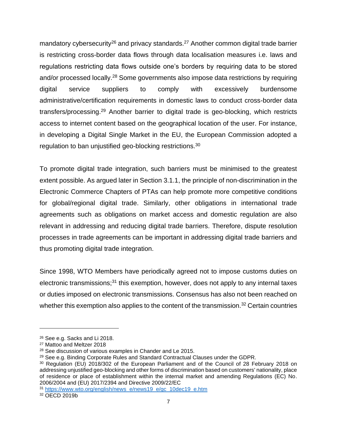mandatory cybersecurity<sup>26</sup> and privacy standards.<sup>27</sup> Another common digital trade barrier is restricting cross-border data flows through data localisation measures i.e. laws and regulations restricting data flows outside one's borders by requiring data to be stored and/or processed locally.<sup>28</sup> Some governments also impose data restrictions by requiring digital service suppliers to comply with excessively burdensome administrative/certification requirements in domestic laws to conduct cross-border data transfers/processing.<sup>29</sup> Another barrier to digital trade is geo-blocking, which restricts access to internet content based on the geographical location of the user. For instance, in developing a Digital Single Market in the EU, the European Commission adopted a regulation to ban unjustified geo-blocking restrictions.<sup>30</sup>

To promote digital trade integration, such barriers must be minimised to the greatest extent possible. As argued later in Section 3.1.1, the principle of non-discrimination in the Electronic Commerce Chapters of PTAs can help promote more competitive conditions for global/regional digital trade. Similarly, other obligations in international trade agreements such as obligations on market access and domestic regulation are also relevant in addressing and reducing digital trade barriers. Therefore, dispute resolution processes in trade agreements can be important in addressing digital trade barriers and thus promoting digital trade integration.

Since 1998, WTO Members have periodically agreed not to impose customs duties on electronic transmissions;<sup>31</sup> this exemption, however, does not apply to any internal taxes or duties imposed on electronic transmissions. Consensus has also not been reached on whether this exemption also applies to the content of the transmission.<sup>32</sup> Certain countries

<sup>26</sup> See e.g. Sacks and Li 2018.

<sup>27</sup> Mattoo and Meltzer 2018

<sup>28</sup> See discussion of various examples in Chander and Le 2015.

<sup>29</sup> See e.g. Binding Corporate Rules and Standard Contractual Clauses under the GDPR.

<sup>30</sup> Regulation (EU) 2018/302 of the European Parliament and of the Council of 28 February 2018 on addressing unjustified geo-blocking and other forms of discrimination based on customers' nationality, place of residence or place of establishment within the internal market and amending Regulations (EC) No. 2006/2004 and (EU) 2017/2394 and Directive 2009/22/EC

<sup>31</sup> [https://www.wto.org/english/news\\_e/news19\\_e/gc\\_10dec19\\_e.htm](https://www.wto.org/english/news_e/news19_e/gc_10dec19_e.htm)

<span id="page-13-0"></span><sup>32</sup> OECD 2019b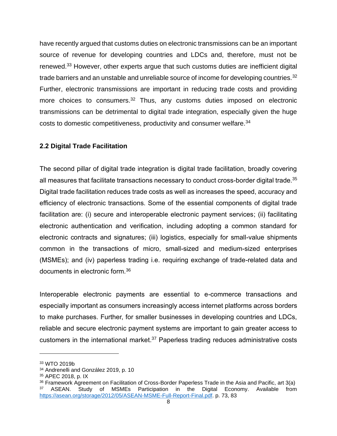have recently argued that customs duties on electronic transmissions can be an important source of revenue for developing countries and LDCs and, therefore, must not be renewed.<sup>33</sup> However, other experts argue that such customs duties are inefficient digital trade barriers and an unstable and unreliable source of income for developing countries.<sup>[32](#page-13-0)</sup> Further, electronic transmissions are important in reducing trade costs and providing more choices to consumers.<sup>[32](#page-13-0)</sup> Thus, any customs duties imposed on electronic transmissions can be detrimental to digital trade integration, especially given the huge costs to domestic competitiveness, productivity and consumer welfare.<sup>34</sup>

#### <span id="page-14-0"></span>**2.2 Digital Trade Facilitation**

The second pillar of digital trade integration is digital trade facilitation, broadly covering all measures that facilitate transactions necessary to conduct cross-border digital trade.<sup>35</sup> Digital trade facilitation reduces trade costs as well as increases the speed, accuracy and efficiency of electronic transactions. Some of the essential components of digital trade facilitation are: (i) secure and interoperable electronic payment services; (ii) facilitating electronic authentication and verification, including adopting a common standard for electronic contracts and signatures; (iii) logistics, especially for small-value shipments common in the transactions of micro, small-sized and medium-sized enterprises (MSMEs); and (iv) paperless trading i.e. requiring exchange of trade-related data and documents in electronic form.<sup>36</sup>

Interoperable electronic payments are essential to e-commerce transactions and especially important as consumers increasingly access internet platforms across borders to make purchases. Further, for smaller businesses in developing countries and LDCs, reliable and secure electronic payment systems are important to gain greater access to customers in the international market.<sup>37</sup> Paperless trading reduces administrative costs

<sup>33</sup> WTO 2019b

<sup>34</sup> Andrenelli and González 2019, p. 10

<sup>35</sup> APEC 2018, p. IX

<sup>36</sup> Framework Agreement on Facilitation of Cross-Border Paperless Trade in the Asia and Pacific, art 3(a) <sup>37</sup> ASEAN. Study of MSMEs Participation in the Digital Economy. Available from [https://asean.org/storage/2012/05/ASEAN-MSME-Full-Report-Final.pdf.](https://asean.org/storage/2012/05/ASEAN-MSME-Full-Report-Final.pdf) p. 73, 83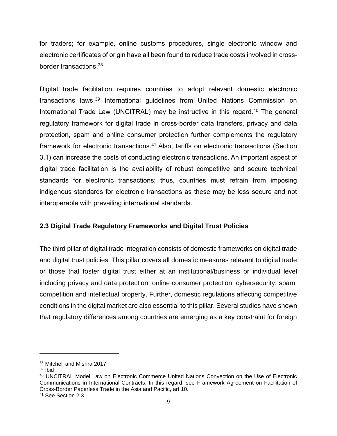for traders; for example, online customs procedures, single electronic window and electronic certificates of origin have all been found to reduce trade costs involved in crossborder transactions.<sup>38</sup>

Digital trade facilitation requires countries to adopt relevant domestic electronic transactions laws.<sup>39</sup> International guidelines from United Nations Commission on International Trade Law (UNCITRAL) may be instructive in this regard.<sup>40</sup> The general regulatory framework for digital trade in cross-border data transfers, privacy and data protection, spam and online consumer protection further complements the regulatory framework for electronic transactions.<sup>41</sup> Also, tariffs on electronic transactions (Section 3.1) can increase the costs of conducting electronic transactions. An important aspect of digital trade facilitation is the availability of robust competitive and secure technical standards for electronic transactions; thus, countries must refrain from imposing indigenous standards for electronic transactions as these may be less secure and not interoperable with prevailing international standards.

#### <span id="page-15-0"></span>**2.3 Digital Trade Regulatory Frameworks and Digital Trust Policies**

The third pillar of digital trade integration consists of domestic frameworks on digital trade and digital trust policies. This pillar covers all domestic measures relevant to digital trade or those that foster digital trust either at an institutional/business or individual level including privacy and data protection; online consumer protection; cybersecurity; spam; competition and intellectual property. Further, domestic regulations affecting competitive conditions in the digital market are also essential to this pillar. Several studies have shown that regulatory differences among countries are emerging as a key constraint for foreign

<sup>38</sup> Mitchell and Mishra 2017

<sup>39</sup> Ibid

<sup>40</sup> UNCITRAL Model Law on Electronic Commerce United Nations Convection on the Use of Electronic Communications in International Contracts. In this regard, see Framework Agreement on Facilitation of Cross-Border Paperless Trade in the Asia and Pacific, art 10.

<sup>41</sup> See Section 2.3.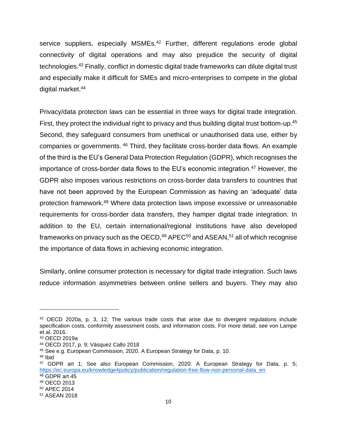service suppliers, especially MSMEs.<sup>42</sup> Further, different regulations erode global connectivity of digital operations and may also prejudice the security of digital technologies.<sup>43</sup> Finally, conflict in domestic digital trade frameworks can dilute digital trust and especially make it difficult for SMEs and micro-enterprises to compete in the global digital market.<sup>44</sup>

Privacy/data protection laws can be essential in three ways for digital trade integration. First, they protect the individual right to privacy and thus building digital trust bottom-up.<sup>45</sup> Second, they safeguard consumers from unethical or unauthorised data use, either by companies or governments. <sup>46</sup> Third, they facilitate cross-border data flows. An example of the third is the EU's General Data Protection Regulation (GDPR), which recognises the importance of cross-border data flows to the EU's economic integration.<sup>47</sup> However, the GDPR also imposes various restrictions on cross-border data transfers to countries that have not been approved by the European Commission as having an 'adequate' data protection framework.<sup>48</sup> Where data protection laws impose excessive or unreasonable requirements for cross-border data transfers, they hamper digital trade integration. In addition to the EU, certain international/regional institutions have also developed frameworks on privacy such as the OECD, $49$  APEC<sup>50</sup> and ASEAN,  $51$  all of which recognise the importance of data flows in achieving economic integration.

Similarly, online consumer protection is necessary for digital trade integration. Such laws reduce information asymmetries between online sellers and buyers. They may also

<sup>46</sup> Ibid

 $42$  OECD 2020a, p. 3, 12; The various trade costs that arise due to divergent regulations include specification costs, conformity assessment costs, and information costs. For more detail, see von Lampe et al. 2016.

<sup>43</sup> OECD 2019a

<sup>44</sup> OECD 2017, p. 9; Vásquez Callo 2018

<sup>45</sup> See e.g. European Commission, 2020. A European Strategy for Data, p. 10.

<sup>47</sup> GDPR art 1; See also European Commission, 2020. A European Strategy for Data, p. 5; [https://ec.europa.eu/knowledge4policy/publication/regulation-free-flow-non-personal-data\\_en](https://ec.europa.eu/knowledge4policy/publication/regulation-free-flow-non-personal-data_en) <sup>48</sup> GDPR art 45

<sup>49</sup> OECD 2013

<sup>50</sup> APEC 2014

<sup>51</sup> ASEAN 2018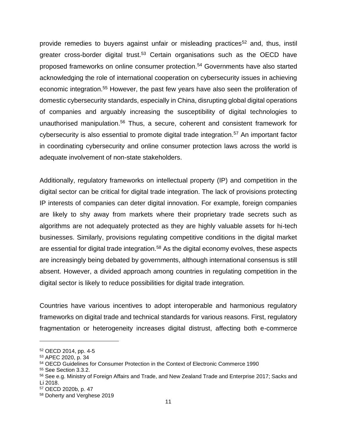provide remedies to buyers against unfair or misleading practices<sup>52</sup> and, thus, instil greater cross-border digital trust.<sup>53</sup> Certain organisations such as the OECD have proposed frameworks on online consumer protection.<sup>54</sup> Governments have also started acknowledging the role of international cooperation on cybersecurity issues in achieving economic integration.<sup>55</sup> However, the past few years have also seen the proliferation of domestic cybersecurity standards, especially in China, disrupting global digital operations of companies and arguably increasing the susceptibility of digital technologies to unauthorised manipulation.<sup>56</sup> Thus, a secure, coherent and consistent framework for cybersecurity is also essential to promote digital trade integration.<sup>57</sup> An important factor in coordinating cybersecurity and online consumer protection laws across the world is adequate involvement of non-state stakeholders.

Additionally, regulatory frameworks on intellectual property (IP) and competition in the digital sector can be critical for digital trade integration. The lack of provisions protecting IP interests of companies can deter digital innovation. For example, foreign companies are likely to shy away from markets where their proprietary trade secrets such as algorithms are not adequately protected as they are highly valuable assets for hi-tech businesses. Similarly, provisions regulating competitive conditions in the digital market are essential for digital trade integration.<sup>58</sup> As the digital economy evolves, these aspects are increasingly being debated by governments, although international consensus is still absent. However, a divided approach among countries in regulating competition in the digital sector is likely to reduce possibilities for digital trade integration.

Countries have various incentives to adopt interoperable and harmonious regulatory frameworks on digital trade and technical standards for various reasons. First, regulatory fragmentation or heterogeneity increases digital distrust, affecting both e-commerce

<sup>52</sup> OECD 2014, pp. 4-5

<sup>53</sup> APEC 2020, p. 34

<sup>54</sup> OECD Guidelines for Consumer Protection in the Context of Electronic Commerce 1990

<sup>55</sup> See Section 3.3.2.

<sup>56</sup> See e.g. Ministry of Foreign Affairs and Trade, and New Zealand Trade and Enterprise 2017; Sacks and Li 2018.

<sup>57</sup> OECD 2020b, p. 47

<sup>58</sup> Doherty and Verghese 2019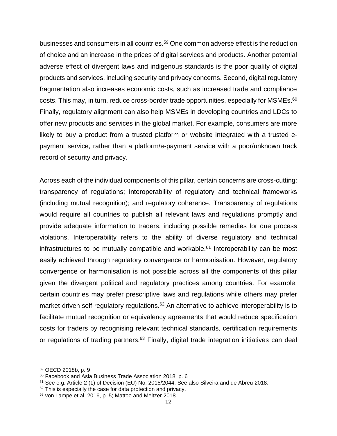businesses and consumers in all countries.<sup>59</sup> One common adverse effect is the reduction of choice and an increase in the prices of digital services and products. Another potential adverse effect of divergent laws and indigenous standards is the poor quality of digital products and services, including security and privacy concerns. Second, digital regulatory fragmentation also increases economic costs, such as increased trade and compliance costs. This may, in turn, reduce cross-border trade opportunities, especially for MSMEs.<sup>60</sup> Finally, regulatory alignment can also help MSMEs in developing countries and LDCs to offer new products and services in the global market. For example, consumers are more likely to buy a product from a trusted platform or website integrated with a trusted epayment service, rather than a platform/e-payment service with a poor/unknown track record of security and privacy.

Across each of the individual components of this pillar, certain concerns are cross-cutting: transparency of regulations; interoperability of regulatory and technical frameworks (including mutual recognition); and regulatory coherence. Transparency of regulations would require all countries to publish all relevant laws and regulations promptly and provide adequate information to traders, including possible remedies for due process violations. Interoperability refers to the ability of diverse regulatory and technical infrastructures to be mutually compatible and workable. $61$  Interoperability can be most easily achieved through regulatory convergence or harmonisation. However, regulatory convergence or harmonisation is not possible across all the components of this pillar given the divergent political and regulatory practices among countries. For example, certain countries may prefer prescriptive laws and regulations while others may prefer market-driven self-regulatory regulations.<sup>62</sup> An alternative to achieve interoperability is to facilitate mutual recognition or equivalency agreements that would reduce specification costs for traders by recognising relevant technical standards, certification requirements or regulations of trading partners.<sup>63</sup> Finally, digital trade integration initiatives can deal

<sup>59</sup> OECD 2018b, p. 9

<sup>60</sup> Facebook and Asia Business Trade Association 2018, p. 6

 $61$  See e.g. Article 2 (1) of Decision (EU) No. 2015/2044. See also Silveira and de Abreu 2018.

<sup>&</sup>lt;sup>62</sup> This is especially the case for data protection and privacy.

<sup>63</sup> von Lampe et al. 2016, p. 5; Mattoo and Meltzer 2018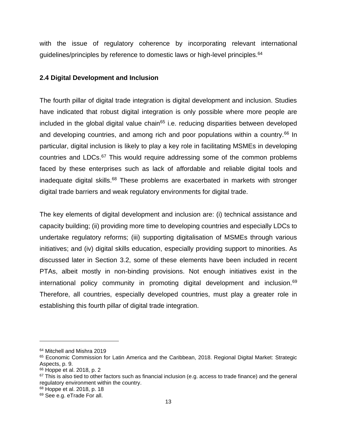with the issue of regulatory coherence by incorporating relevant international guidelines/principles by reference to domestic laws or high-level principles.<sup>64</sup>

#### <span id="page-19-0"></span>**2.4 Digital Development and Inclusion**

The fourth pillar of digital trade integration is digital development and inclusion. Studies have indicated that robust digital integration is only possible where more people are included in the global digital value chain<sup>65</sup> i.e. reducing disparities between developed and developing countries, and among rich and poor populations within a country.<sup>66</sup> In particular, digital inclusion is likely to play a key role in facilitating MSMEs in developing countries and LDCs.<sup>67</sup> This would require addressing some of the common problems faced by these enterprises such as lack of affordable and reliable digital tools and inadequate digital skills.<sup>68</sup> These problems are exacerbated in markets with stronger digital trade barriers and weak regulatory environments for digital trade.

The key elements of digital development and inclusion are: (i) technical assistance and capacity building; (ii) providing more time to developing countries and especially LDCs to undertake regulatory reforms; (iii) supporting digitalisation of MSMEs through various initiatives; and (iv) digital skills education, especially providing support to minorities. As discussed later in Section 3.2, some of these elements have been included in recent PTAs, albeit mostly in non-binding provisions. Not enough initiatives exist in the international policy community in promoting digital development and inclusion.<sup>69</sup> Therefore, all countries, especially developed countries, must play a greater role in establishing this fourth pillar of digital trade integration.

<sup>64</sup> Mitchell and Mishra 2019

<sup>&</sup>lt;sup>65</sup> Economic Commission for Latin America and the Caribbean, 2018. Regional Digital Market: Strategic Aspects, p. 9.

<sup>66</sup> Hoppe et al. 2018, p. 2

 $67$  This is also tied to other factors such as financial inclusion (e.g. access to trade finance) and the general regulatory environment within the country.

<sup>68</sup> Hoppe et al. 2018, p. 18

<sup>69</sup> See e.g. eTrade For all.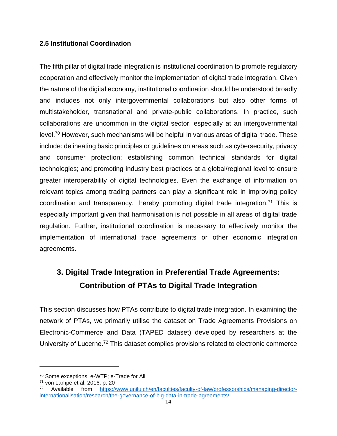#### <span id="page-20-0"></span>**2.5 Institutional Coordination**

The fifth pillar of digital trade integration is institutional coordination to promote regulatory cooperation and effectively monitor the implementation of digital trade integration. Given the nature of the digital economy, institutional coordination should be understood broadly and includes not only intergovernmental collaborations but also other forms of multistakeholder, transnational and private-public collaborations. In practice, such collaborations are uncommon in the digital sector, especially at an intergovernmental level.<sup>70</sup> However, such mechanisms will be helpful in various areas of digital trade. These include: delineating basic principles or guidelines on areas such as cybersecurity, privacy and consumer protection; establishing common technical standards for digital technologies; and promoting industry best practices at a global/regional level to ensure greater interoperability of digital technologies. Even the exchange of information on relevant topics among trading partners can play a significant role in improving policy coordination and transparency, thereby promoting digital trade integration.<sup>71</sup> This is especially important given that harmonisation is not possible in all areas of digital trade regulation. Further, institutional coordination is necessary to effectively monitor the implementation of international trade agreements or other economic integration agreements.

# <span id="page-20-1"></span>**3. Digital Trade Integration in Preferential Trade Agreements: Contribution of PTAs to Digital Trade Integration**

This section discusses how PTAs contribute to digital trade integration. In examining the network of PTAs, we primarily utilise the dataset on Trade Agreements Provisions on Electronic-Commerce and Data (TAPED dataset) developed by researchers at the University of Lucerne.<sup>72</sup> This dataset compiles provisions related to electronic commerce

<sup>70</sup> Some exceptions: e-WTP; e-Trade for All

 $71$  von Lampe et al. 2016, p. 20

<sup>72</sup> Available from [https://www.unilu.ch/en/faculties/faculty-of-law/professorships/managing-director](https://www.unilu.ch/en/faculties/faculty-of-law/professorships/managing-director-internationalisation/research/the-governance-of-big-data-in-trade-agreements/)[internationalisation/research/the-governance-of-big-data-in-trade-agreements/](https://www.unilu.ch/en/faculties/faculty-of-law/professorships/managing-director-internationalisation/research/the-governance-of-big-data-in-trade-agreements/)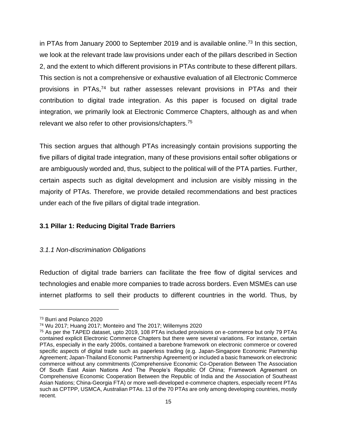in PTAs from January 2000 to September 2019 and is available online.<sup>73</sup> In this section, we look at the relevant trade law provisions under each of the pillars described in Section 2, and the extent to which different provisions in PTAs contribute to these different pillars. This section is not a comprehensive or exhaustive evaluation of all Electronic Commerce provisions in PTAs, $74$  but rather assesses relevant provisions in PTAs and their contribution to digital trade integration. As this paper is focused on digital trade integration, we primarily look at Electronic Commerce Chapters, although as and when relevant we also refer to other provisions/chapters.<sup>75</sup>

This section argues that although PTAs increasingly contain provisions supporting the five pillars of digital trade integration, many of these provisions entail softer obligations or are ambiguously worded and, thus, subject to the political will of the PTA parties. Further, certain aspects such as digital development and inclusion are visibly missing in the majority of PTAs. Therefore, we provide detailed recommendations and best practices under each of the five pillars of digital trade integration.

#### <span id="page-21-0"></span>**3.1 Pillar 1: Reducing Digital Trade Barriers**

#### <span id="page-21-1"></span>*3.1.1 Non-discrimination Obligations*

Reduction of digital trade barriers can facilitate the free flow of digital services and technologies and enable more companies to trade across borders. Even MSMEs can use internet platforms to sell their products to different countries in the world. Thus, by

<sup>73</sup> Burri and Polanco 2020

<sup>74</sup> Wu 2017; Huang 2017; Monteiro and The 2017; Willemyns 2020

<sup>75</sup> As per the TAPED dataset, upto 2019, 108 PTAs included provisions on e-commerce but only 79 PTAs contained explicit Electronic Commerce Chapters but there were several variations. For instance, certain PTAs, especially in the early 2000s, contained a barebone framework on electronic commerce or covered specific aspects of digital trade such as paperless trading (e.g. Japan-Singapore Economic Partnership Agreement; Japan-Thailand Economic Partnership Agreement) or included a basic framework on electronic commerce without any commitments (Comprehensive Economic Co-Operation Between The Association Of South East Asian Nations And The People's Republic Of China; Framework Agreement on Comprehensive Economic Cooperation Between the Republic of India and the Association of Southeast Asian Nations; China-Georgia FTA) or more well-developed e-commerce chapters, especially recent PTAs such as CPTPP, USMCA, Australian PTAs. 13 of the 70 PTAs are only among developing countries, mostly recent.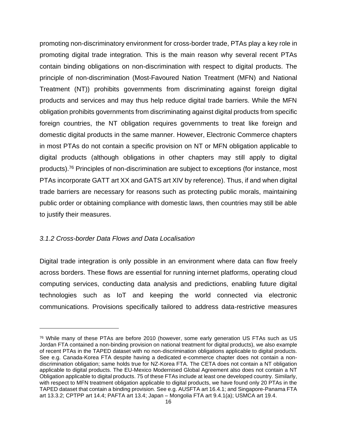promoting non-discriminatory environment for cross-border trade, PTAs play a key role in promoting digital trade integration. This is the main reason why several recent PTAs contain binding obligations on non-discrimination with respect to digital products. The principle of non-discrimination (Most-Favoured Nation Treatment (MFN) and National Treatment (NT)) prohibits governments from discriminating against foreign digital products and services and may thus help reduce digital trade barriers. While the MFN obligation prohibits governments from discriminating against digital products from specific foreign countries, the NT obligation requires governments to treat like foreign and domestic digital products in the same manner. However, Electronic Commerce chapters in most PTAs do not contain a specific provision on NT or MFN obligation applicable to digital products (although obligations in other chapters may still apply to digital products).<sup>76</sup> Principles of non-discrimination are subject to exceptions (for instance, most PTAs incorporate GATT art XX and GATS art XIV by reference). Thus, if and when digital trade barriers are necessary for reasons such as protecting public morals, maintaining public order or obtaining compliance with domestic laws, then countries may still be able to justify their measures.

#### <span id="page-22-0"></span>*3.1.2 Cross-border Data Flows and Data Localisation*

Digital trade integration is only possible in an environment where data can flow freely across borders. These flows are essential for running internet platforms, operating cloud computing services, conducting data analysis and predictions, enabling future digital technologies such as IoT and keeping the world connected via electronic communications. Provisions specifically tailored to address data-restrictive measures

<sup>76</sup> While many of these PTAs are before 2010 (however, some early generation US FTAs such as US Jordan FTA contained a non-binding provision on national treatment for digital products), we also example of recent PTAs in the TAPED dataset with no non-discrimination obligations applicable to digital products. See e.g. Canada-Korea FTA despite having a dedicated e-commerce chapter does not contain a nondiscrimination obligation; same holds true for NZ-Korea FTA. The CETA does not contain a NT obligation applicable to digital products. The EU-Mexico Modernised Global Agreement also does not contain a NT Obligation applicable to digital products. 75 of these FTAs include at least one developed country. Similarly, with respect to MFN treatment obligation applicable to digital products, we have found only 20 PTAs in the TAPED dataset that contain a binding provision. See e.g. AUSFTA art 16.4.1; and Singapore-Panama FTA art 13.3.2; CPTPP art 14.4; PAFTA art 13.4; Japan – Mongolia FTA art 9.4.1(a); USMCA art 19.4.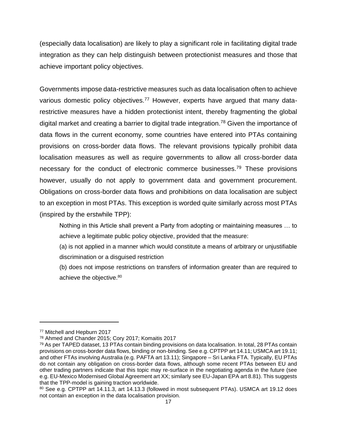(especially data localisation) are likely to play a significant role in facilitating digital trade integration as they can help distinguish between protectionist measures and those that achieve important policy objectives.

Governments impose data-restrictive measures such as data localisation often to achieve various domestic policy objectives.<sup>77</sup> However, experts have argued that many datarestrictive measures have a hidden protectionist intent, thereby fragmenting the global digital market and creating a barrier to digital trade integration.<sup>78</sup> Given the importance of data flows in the current economy, some countries have entered into PTAs containing provisions on cross-border data flows. The relevant provisions typically prohibit data localisation measures as well as require governments to allow all cross-border data necessary for the conduct of electronic commerce businesses.<sup>79</sup> These provisions however, usually do not apply to government data and government procurement. Obligations on cross-border data flows and prohibitions on data localisation are subject to an exception in most PTAs. This exception is worded quite similarly across most PTAs (inspired by the erstwhile TPP):

Nothing in this Article shall prevent a Party from adopting or maintaining measures … to achieve a legitimate public policy objective, provided that the measure:

(a) is not applied in a manner which would constitute a means of arbitrary or unjustifiable discrimination or a disguised restriction

(b) does not impose restrictions on transfers of information greater than are required to achieve the objective.<sup>80</sup>

<sup>77</sup> Mitchell and Hepburn 2017

<sup>78</sup> Ahmed and Chander 2015; Cory 2017; Komaitis 2017

<sup>79</sup> As per TAPED dataset, 13 PTAs contain binding provisions on data localisation. In total, 28 PTAs contain provisions on cross-border data flows, binding or non-binding. See e.g. CPTPP art 14.11; USMCA art 19.11; and other FTAs involving Australia (e.g. PAFTA art 13.11); Singapore – Sri Lanka FTA. Typically, EU PTAs do not contain any obligation on cross-border data flows, although some recent PTAs between EU and other trading partners indicate that this topic may re-surface in the negotiating agenda in the future (see e.g. EU-Mexico Modernised Global Agreement art XX; similarly see EU-Japan EPA art 8.81). This suggests that the TPP-model is gaining traction worldwide.

<sup>80</sup> See e.g. CPTPP art 14.11.3, art 14.13.3 (followed in most subsequent PTAs). USMCA art 19.12 does not contain an exception in the data localisation provision.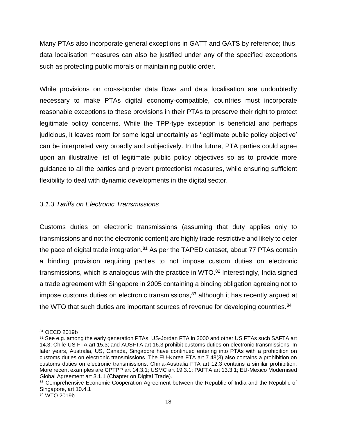Many PTAs also incorporate general exceptions in GATT and GATS by reference; thus, data localisation measures can also be justified under any of the specified exceptions such as protecting public morals or maintaining public order.

While provisions on cross-border data flows and data localisation are undoubtedly necessary to make PTAs digital economy-compatible, countries must incorporate reasonable exceptions to these provisions in their PTAs to preserve their right to protect legitimate policy concerns. While the TPP-type exception is beneficial and perhaps judicious, it leaves room for some legal uncertainty as 'legitimate public policy objective' can be interpreted very broadly and subjectively. In the future, PTA parties could agree upon an illustrative list of legitimate public policy objectives so as to provide more guidance to all the parties and prevent protectionist measures, while ensuring sufficient flexibility to deal with dynamic developments in the digital sector.

#### <span id="page-24-0"></span>*3.1.3 Tariffs on Electronic Transmissions*

Customs duties on electronic transmissions (assuming that duty applies only to transmissions and not the electronic content) are highly trade-restrictive and likely to deter the pace of digital trade integration.<sup>81</sup> As per the TAPED dataset, about 77 PTAs contain a binding provision requiring parties to not impose custom duties on electronic transmissions, which is analogous with the practice in WTO.<sup>82</sup> Interestingly, India signed a trade agreement with Singapore in 2005 containing a binding obligation agreeing not to impose customs duties on electronic transmissions,<sup>83</sup> although it has recently argued at the WTO that such duties are important sources of revenue for developing countries.<sup>84</sup>

<sup>81</sup> OECD 2019b

<sup>82</sup> See e.g. among the early generation PTAs: US-Jordan FTA in 2000 and other US FTAs such SAFTA art 14.3; Chile-US FTA art 15.3; and AUSFTA art 16.3 prohibit customs duties on electronic transmissions. In later years, Australia, US, Canada, Singapore have continued entering into PTAs with a prohibition on customs duties on electronic transmissions. The EU-Korea FTA art 7.48(3) also contains a prohibition on customs duties on electronic transmissions. China-Australia FTA art 12.3 contains a similar prohibition. More recent examples are CPTPP art 14.3.1; USMC art 19.3.1; PAFTA art 13.3.1; EU-Mexico Modernised Global Agreement art 3.1.1 (Chapter on Digital Trade).

<sup>83</sup> Comprehensive Economic Cooperation Agreement between the Republic of India and the Republic of Singapore, art 10.4.1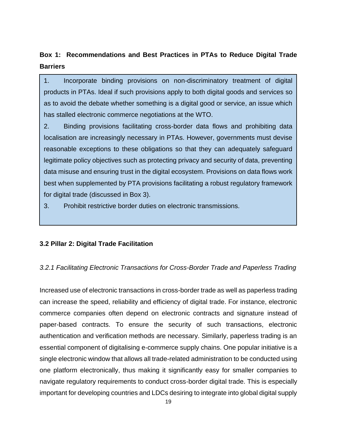## <span id="page-25-2"></span>**Box 1: Recommendations and Best Practices in PTAs to Reduce Digital Trade Barriers**

1. Incorporate binding provisions on non-discriminatory treatment of digital products in PTAs. Ideal if such provisions apply to both digital goods and services so as to avoid the debate whether something is a digital good or service, an issue which has stalled electronic commerce negotiations at the WTO.

2. Binding provisions facilitating cross-border data flows and prohibiting data localisation are increasingly necessary in PTAs. However, governments must devise reasonable exceptions to these obligations so that they can adequately safeguard legitimate policy objectives such as protecting privacy and security of data, preventing data misuse and ensuring trust in the digital ecosystem. Provisions on data flows work best when supplemented by PTA provisions facilitating a robust regulatory framework for digital trade (discussed in Box 3).

3. Prohibit restrictive border duties on electronic transmissions.

#### <span id="page-25-0"></span>**3.2 Pillar 2: Digital Trade Facilitation**

#### <span id="page-25-1"></span>*3.2.1 Facilitating Electronic Transactions for Cross-Border Trade and Paperless Trading*

Increased use of electronic transactions in cross-border trade as well as paperless trading can increase the speed, reliability and efficiency of digital trade. For instance, electronic commerce companies often depend on electronic contracts and signature instead of paper-based contracts. To ensure the security of such transactions, electronic authentication and verification methods are necessary. Similarly, paperless trading is an essential component of digitalising e-commerce supply chains. One popular initiative is a single electronic window that allows all trade-related administration to be conducted using one platform electronically, thus making it significantly easy for smaller companies to navigate regulatory requirements to conduct cross-border digital trade. This is especially important for developing countries and LDCs desiring to integrate into global digital supply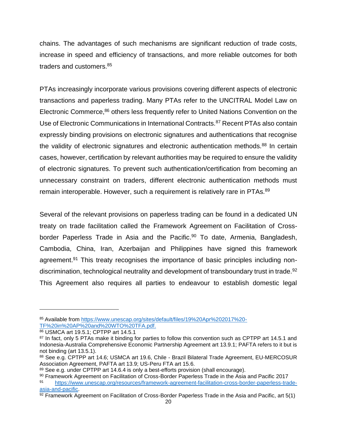chains. The advantages of such mechanisms are significant reduction of trade costs, increase in speed and efficiency of transactions, and more reliable outcomes for both traders and customers.<sup>85</sup>

PTAs increasingly incorporate various provisions covering different aspects of electronic transactions and paperless trading. Many PTAs refer to the UNCITRAL Model Law on Electronic Commerce,  $86$  others less frequently refer to United Nations Convention on the Use of Electronic Communications in International Contracts.<sup>87</sup> Recent PTAs also contain expressly binding provisions on electronic signatures and authentications that recognise the validity of electronic signatures and electronic authentication methods.<sup>88</sup> In certain cases, however, certification by relevant authorities may be required to ensure the validity of electronic signatures. To prevent such authentication/certification from becoming an unnecessary constraint on traders, different electronic authentication methods must remain interoperable. However, such a requirement is relatively rare in PTAs.<sup>89</sup>

Several of the relevant provisions on paperless trading can be found in a dedicated UN treaty on trade facilitation called the Framework Agreement on Facilitation of Crossborder Paperless Trade in Asia and the Pacific.<sup>90</sup> To date, Armenia, Bangladesh, Cambodia, China, Iran, Azerbaijan and Philippines have signed this framework agreement.<sup>91</sup> This treaty recognises the importance of basic principles including nondiscrimination, technological neutrality and development of transboundary trust in trade.<sup>92</sup> This Agreement also requires all parties to endeavour to establish domestic legal

86 USMCA art 19.5.1; CPTPP art 14.5.1

<sup>85</sup> Available from [https://www.unescap.org/sites/default/files/19%20Apr%202017%20-](https://www.unescap.org/sites/default/files/19%20Apr%202017%20-TF%20in%20AP%20and%20WTO%20TFA.pdf) [TF%20in%20AP%20and%20WTO%20TFA.pdf.](https://www.unescap.org/sites/default/files/19%20Apr%202017%20-TF%20in%20AP%20and%20WTO%20TFA.pdf)

<sup>&</sup>lt;sup>87</sup> In fact, only 5 PTAs make it binding for parties to follow this convention such as CPTPP art 14.5.1 and Indonesia-Australia Comprehensive Economic Partnership Agreement art 13.9.1; PAFTA refers to it but is not binding (art 13.5.1).

<sup>88</sup> See e.g. CPTPP art 14.6; USMCA art 19.6, Chile - Brazil Bilateral Trade Agreement, EU-MERCOSUR Association Agreement, PAFTA art 13.9; US-Peru FTA art 15.6.

<sup>89</sup> See e.g. under CPTPP art 14.6.4 is only a best-efforts provision (shall encourage).

<sup>90</sup> Framework Agreement on Facilitation of Cross-Border Paperless Trade in the Asia and Pacific 2017 <sup>91</sup> [https://www.unescap.org/resources/framework-agreement-facilitation-cross-border-paperless-trade](https://www.unescap.org/resources/framework-agreement-facilitation-cross-border-paperless-trade-asia-and-pacific)[asia-and-pacific.](https://www.unescap.org/resources/framework-agreement-facilitation-cross-border-paperless-trade-asia-and-pacific)

 $\overline{92}$  Framework Agreement on Facilitation of Cross-Border Paperless Trade in the Asia and Pacific, art 5(1)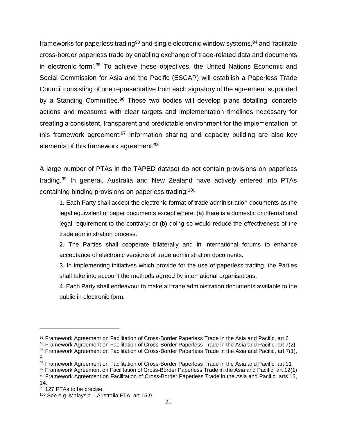frameworks for paperless trading<sup>93</sup> and single electronic window systems,  $94$  and 'facilitate cross-border paperless trade by enabling exchange of trade-related data and documents in electronic form'.<sup>95</sup> To achieve these objectives, the United Nations Economic and Social Commission for Asia and the Pacific (ESCAP) will establish a Paperless Trade Council consisting of one representative from each signatory of the agreement supported by a Standing Committee.<sup>96</sup> These two bodies will develop plans detailing 'concrete actions and measures with clear targets and implementation timelines necessary for creating a consistent, transparent and predictable environment for the implementation' of this framework agreement.<sup>97</sup> Information sharing and capacity building are also key elements of this framework agreement.<sup>98</sup>

A large number of PTAs in the TAPED dataset do not contain provisions on paperless trading.<sup>99</sup> In general, Australia and New Zealand have actively entered into PTAs containing binding provisions on paperless trading:<sup>100</sup>

1. Each Party shall accept the electronic format of trade administration documents as the legal equivalent of paper documents except where: (a) there is a domestic or international legal requirement to the contrary; or (b) doing so would reduce the effectiveness of the trade administration process.

2. The Parties shall cooperate bilaterally and in international forums to enhance acceptance of electronic versions of trade administration documents.

3. In implementing initiatives which provide for the use of paperless trading, the Parties shall take into account the methods agreed by international organisations.

4. Each Party shall endeavour to make all trade administration documents available to the public in electronic form.

97 Framework Agreement on Facilitation of Cross-Border Paperless Trade in the Asia and Pacific, art 12(1) 98 Framework Agreement on Facilitation of Cross-Border Paperless Trade in the Asia and Pacific, arts 13,

99 127 PTAs to be precise.

<sup>93</sup> Framework Agreement on Facilitation of Cross-Border Paperless Trade in the Asia and Pacific, art 6

<sup>94</sup> Framework Agreement on Facilitation of Cross-Border Paperless Trade in the Asia and Pacific, art 7(2)

<sup>95</sup> Framework Agreement on Facilitation of Cross-Border Paperless Trade in the Asia and Pacific, art 7(1), 9

<sup>96</sup> Framework Agreement on Facilitation of Cross-Border Paperless Trade in the Asia and Pacific, art 11

<sup>14.</sup> 

<sup>100</sup> See e.g. Malaysia – Australia FTA, art 15.9.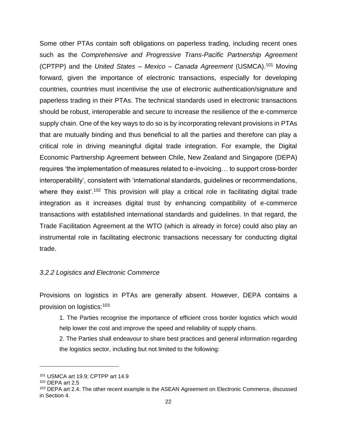Some other PTAs contain soft obligations on paperless trading, including recent ones such as the *Comprehensive and Progressive Trans-Pacific Partnership Agreement* (CPTPP) and the *United States – Mexico – Canada Agreement* (USMCA).<sup>101</sup> Moving forward, given the importance of electronic transactions, especially for developing countries, countries must incentivise the use of electronic authentication/signature and paperless trading in their PTAs. The technical standards used in electronic transactions should be robust, interoperable and secure to increase the resilience of the e-commerce supply chain. One of the key ways to do so is by incorporating relevant provisions in PTAs that are mutually binding and thus beneficial to all the parties and therefore can play a critical role in driving meaningful digital trade integration. For example, the Digital Economic Partnership Agreement between Chile, New Zealand and Singapore (DEPA) requires 'the implementation of measures related to e-invoicing… to support cross-border interoperability', consistent with 'international standards, guidelines or recommendations, where they exist<sup>' 102</sup> This provision will play a critical role in facilitating digital trade integration as it increases digital trust by enhancing compatibility of e-commerce transactions with established international standards and guidelines. In that regard, the Trade Facilitation Agreement at the WTO (which is already in force) could also play an instrumental role in facilitating electronic transactions necessary for conducting digital trade.

#### <span id="page-28-0"></span>*3.2.2 Logistics and Electronic Commerce*

Provisions on logistics in PTAs are generally absent. However, DEPA contains a provision on logistics:<sup>103</sup>

1. The Parties recognise the importance of efficient cross border logistics which would help lower the cost and improve the speed and reliability of supply chains.

2. The Parties shall endeavour to share best practices and general information regarding the logistics sector, including but not limited to the following:

<sup>101</sup> USMCA art 19.9; CPTPP art 14.9

<sup>102</sup> DEPA art 2.5

<sup>&</sup>lt;sup>103</sup> DEPA art 2.4. The other recent example is the ASEAN Agreement on Electronic Commerce, discussed in Section 4.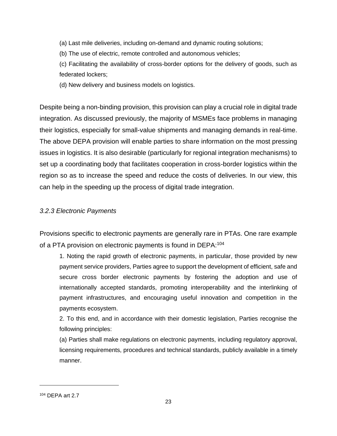(a) Last mile deliveries, including on-demand and dynamic routing solutions;

(b) The use of electric, remote controlled and autonomous vehicles;

(c) Facilitating the availability of cross-border options for the delivery of goods, such as federated lockers;

(d) New delivery and business models on logistics.

Despite being a non-binding provision, this provision can play a crucial role in digital trade integration. As discussed previously, the majority of MSMEs face problems in managing their logistics, especially for small-value shipments and managing demands in real-time. The above DEPA provision will enable parties to share information on the most pressing issues in logistics. It is also desirable (particularly for regional integration mechanisms) to set up a coordinating body that facilitates cooperation in cross-border logistics within the region so as to increase the speed and reduce the costs of deliveries. In our view, this can help in the speeding up the process of digital trade integration.

#### <span id="page-29-0"></span>*3.2.3 Electronic Payments*

Provisions specific to electronic payments are generally rare in PTAs. One rare example of a PTA provision on electronic payments is found in DEPA:<sup>104</sup>

1. Noting the rapid growth of electronic payments, in particular, those provided by new payment service providers, Parties agree to support the development of efficient, safe and secure cross border electronic payments by fostering the adoption and use of internationally accepted standards, promoting interoperability and the interlinking of payment infrastructures, and encouraging useful innovation and competition in the payments ecosystem.

2. To this end, and in accordance with their domestic legislation, Parties recognise the following principles:

(a) Parties shall make regulations on electronic payments, including regulatory approval, licensing requirements, procedures and technical standards, publicly available in a timely manner.

<sup>104</sup> DEPA art 2.7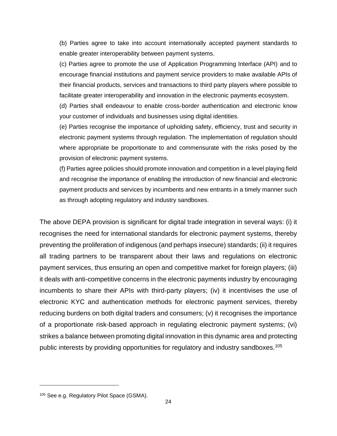(b) Parties agree to take into account internationally accepted payment standards to enable greater interoperability between payment systems.

(c) Parties agree to promote the use of Application Programming Interface (API) and to encourage financial institutions and payment service providers to make available APIs of their financial products, services and transactions to third party players where possible to facilitate greater interoperability and innovation in the electronic payments ecosystem.

(d) Parties shall endeavour to enable cross-border authentication and electronic know your customer of individuals and businesses using digital identities.

(e) Parties recognise the importance of upholding safety, efficiency, trust and security in electronic payment systems through regulation. The implementation of regulation should where appropriate be proportionate to and commensurate with the risks posed by the provision of electronic payment systems.

(f) Parties agree policies should promote innovation and competition in a level playing field and recognise the importance of enabling the introduction of new financial and electronic payment products and services by incumbents and new entrants in a timely manner such as through adopting regulatory and industry sandboxes.

The above DEPA provision is significant for digital trade integration in several ways: (i) it recognises the need for international standards for electronic payment systems, thereby preventing the proliferation of indigenous (and perhaps insecure) standards; (ii) it requires all trading partners to be transparent about their laws and regulations on electronic payment services, thus ensuring an open and competitive market for foreign players; (iii) it deals with anti-competitive concerns in the electronic payments industry by encouraging incumbents to share their APIs with third-party players; (iv) it incentivises the use of electronic KYC and authentication methods for electronic payment services, thereby reducing burdens on both digital traders and consumers; (v) it recognises the importance of a proportionate risk-based approach in regulating electronic payment systems; (vi) strikes a balance between promoting digital innovation in this dynamic area and protecting public interests by providing opportunities for regulatory and industry sandboxes.<sup>105</sup>

<sup>105</sup> See e.g. Regulatory Pilot Space (GSMA).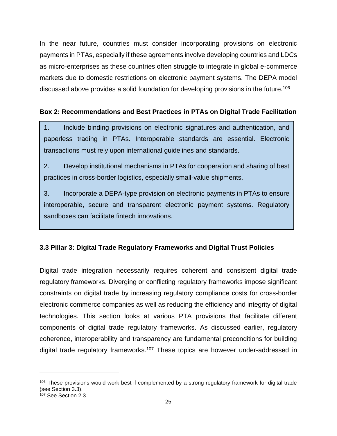In the near future, countries must consider incorporating provisions on electronic payments in PTAs, especially if these agreements involve developing countries and LDCs as micro-enterprises as these countries often struggle to integrate in global e-commerce markets due to domestic restrictions on electronic payment systems. The DEPA model discussed above provides a solid foundation for developing provisions in the future.<sup>106</sup>

#### <span id="page-31-1"></span>**Box 2: Recommendations and Best Practices in PTAs on Digital Trade Facilitation**

1. Include binding provisions on electronic signatures and authentication, and paperless trading in PTAs. Interoperable standards are essential. Electronic transactions must rely upon international guidelines and standards.

2. Develop institutional mechanisms in PTAs for cooperation and sharing of best practices in cross-border logistics, especially small-value shipments.

3. Incorporate a DEPA-type provision on electronic payments in PTAs to ensure interoperable, secure and transparent electronic payment systems. Regulatory sandboxes can facilitate fintech innovations.

#### <span id="page-31-0"></span>**3.3 Pillar 3: Digital Trade Regulatory Frameworks and Digital Trust Policies**

Digital trade integration necessarily requires coherent and consistent digital trade regulatory frameworks. Diverging or conflicting regulatory frameworks impose significant constraints on digital trade by increasing regulatory compliance costs for cross-border electronic commerce companies as well as reducing the efficiency and integrity of digital technologies. This section looks at various PTA provisions that facilitate different components of digital trade regulatory frameworks. As discussed earlier, regulatory coherence, interoperability and transparency are fundamental preconditions for building digital trade regulatory frameworks.<sup>107</sup> These topics are however under-addressed in

<sup>&</sup>lt;sup>106</sup> These provisions would work best if complemented by a strong regulatory framework for digital trade (see Section 3.3).

 $107$  See Section 2.3.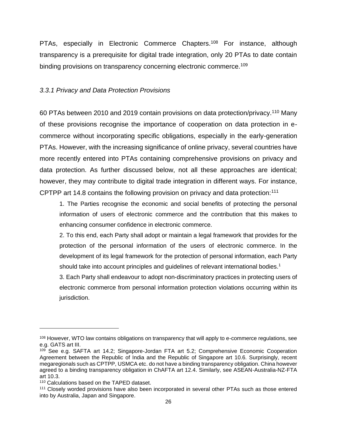PTAs, especially in Electronic Commerce Chapters.<sup>108</sup> For instance, although transparency is a prerequisite for digital trade integration, only 20 PTAs to date contain binding provisions on transparency concerning electronic commerce.<sup>109</sup>

#### <span id="page-32-0"></span>*3.3.1 Privacy and Data Protection Provisions*

60 PTAs between 2010 and 2019 contain provisions on data protection/privacy.<sup>110</sup> Many of these provisions recognise the importance of cooperation on data protection in ecommerce without incorporating specific obligations, especially in the early-generation PTAs. However, with the increasing significance of online privacy, several countries have more recently entered into PTAs containing comprehensive provisions on privacy and data protection. As further discussed below, not all these approaches are identical; however, they may contribute to digital trade integration in different ways. For instance, CPTPP art 14.8 contains the following provision on privacy and data protection:<sup>111</sup>

1. The Parties recognise the economic and social benefits of protecting the personal information of users of electronic commerce and the contribution that this makes to enhancing consumer confidence in electronic commerce.

2. To this end, each Party shall adopt or maintain a legal framework that provides for the protection of the personal information of the users of electronic commerce. In the development of its legal framework for the protection of personal information, each Party should take into account principles and guidelines of relevant international bodies.<sup>1</sup>

3. Each Party shall endeavour to adopt non-discriminatory practices in protecting users of electronic commerce from personal information protection violations occurring within its jurisdiction.

<sup>&</sup>lt;sup>108</sup> However, WTO law contains obligations on transparency that will apply to e-commerce regulations, see e.g. GATS art III.

<sup>109</sup> See e.g. SAFTA art 14.2; Singapore-Jordan FTA art 5.2; Comprehensive Economic Cooperation Agreement between the Republic of India and the Republic of Singapore art 10.6. Surprisingly, recent megaregionals such as CPTPP, USMCA etc. do not have a binding transparency obligation. China however agreed to a binding transparency obligation in ChAFTA art 12.4. Similarly, see ASEAN-Australia-NZ-FTA art 10.3.

<sup>110</sup> Calculations based on the TAPED dataset.

<sup>111</sup> Closely worded provisions have also been incorporated in several other PTAs such as those entered into by Australia, Japan and Singapore.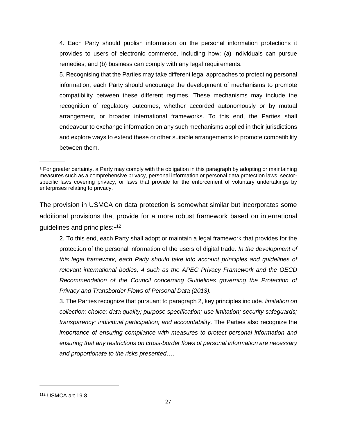4. Each Party should publish information on the personal information protections it provides to users of electronic commerce, including how: (a) individuals can pursue remedies; and (b) business can comply with any legal requirements.

5. Recognising that the Parties may take different legal approaches to protecting personal information, each Party should encourage the development of mechanisms to promote compatibility between these different regimes. These mechanisms may include the recognition of regulatory outcomes, whether accorded autonomously or by mutual arrangement, or broader international frameworks. To this end, the Parties shall endeavour to exchange information on any such mechanisms applied in their jurisdictions and explore ways to extend these or other suitable arrangements to promote compatibility between them.

The provision in USMCA on data protection is somewhat similar but incorporates some additional provisions that provide for a more robust framework based on international guidelines and principles:<sup>112</sup>

2. To this end, each Party shall adopt or maintain a legal framework that provides for the protection of the personal information of the users of digital trade. *In the development of this legal framework, each Party should take into account principles and guidelines of relevant international bodies, 4 such as the APEC Privacy Framework and the OECD Recommendation of the Council concerning Guidelines governing the Protection of Privacy and Transborder Flows of Personal Data (2013).*

3. The Parties recognize that pursuant to paragraph 2, key principles include*: limitation on collection; choice; data quality; purpose specification; use limitation; security safeguards; transparency; individual participation; and accountability*. The Parties also recognize the *importance of ensuring compliance with measures to protect personal information and ensuring that any restrictions on cross-border flows of personal information are necessary and proportionate to the risks presented*….

 $\overline{\phantom{a}}$ 

<sup>1</sup> For greater certainty, a Party may comply with the obligation in this paragraph by adopting or maintaining measures such as a comprehensive privacy, personal information or personal data protection laws, sectorspecific laws covering privacy, or laws that provide for the enforcement of voluntary undertakings by enterprises relating to privacy.

<sup>112</sup> USMCA art 19.8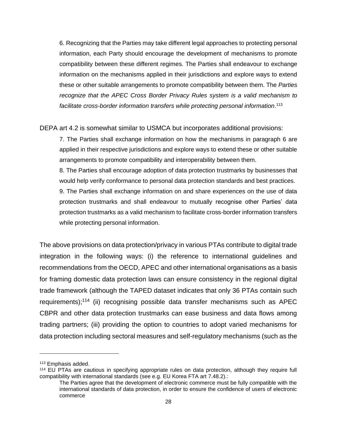6. Recognizing that the Parties may take different legal approaches to protecting personal information, each Party should encourage the development of mechanisms to promote compatibility between these different regimes. The Parties shall endeavour to exchange information on the mechanisms applied in their jurisdictions and explore ways to extend these or other suitable arrangements to promote compatibility between them. The *Parties recognize that the APEC Cross Border Privacy Rules system is a valid mechanism to facilitate cross-border information transfers while protecting personal information*. 113

DEPA art 4.2 is somewhat similar to USMCA but incorporates additional provisions:

7. The Parties shall exchange information on how the mechanisms in paragraph 6 are applied in their respective jurisdictions and explore ways to extend these or other suitable arrangements to promote compatibility and interoperability between them.

8. The Parties shall encourage adoption of data protection trustmarks by businesses that would help verify conformance to personal data protection standards and best practices.

9. The Parties shall exchange information on and share experiences on the use of data protection trustmarks and shall endeavour to mutually recognise other Parties' data protection trustmarks as a valid mechanism to facilitate cross-border information transfers while protecting personal information.

The above provisions on data protection/privacy in various PTAs contribute to digital trade integration in the following ways: (i) the reference to international guidelines and recommendations from the OECD, APEC and other international organisations as a basis for framing domestic data protection laws can ensure consistency in the regional digital trade framework (although the TAPED dataset indicates that only 36 PTAs contain such requirements);<sup>114</sup> (ii) recognising possible data transfer mechanisms such as APEC CBPR and other data protection trustmarks can ease business and data flows among trading partners; (iii) providing the option to countries to adopt varied mechanisms for data protection including sectoral measures and self-regulatory mechanisms (such as the

<sup>113</sup> Emphasis added.

<sup>114</sup> EU PTAs are cautious in specifying appropriate rules on data protection, although they require full compatibility with international standards (see e.g. EU Korea FTA art 7.48.2).:

The Parties agree that the development of electronic commerce must be fully compatible with the international standards of data protection, in order to ensure the confidence of users of electronic commerce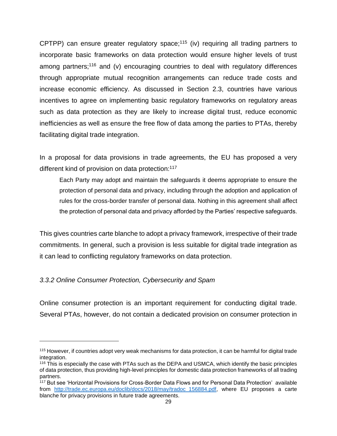CPTPP) can ensure greater regulatory space;<sup>115</sup> (iv) requiring all trading partners to incorporate basic frameworks on data protection would ensure higher levels of trust among partners;<sup>116</sup> and (v) encouraging countries to deal with regulatory differences through appropriate mutual recognition arrangements can reduce trade costs and increase economic efficiency. As discussed in Section 2.3, countries have various incentives to agree on implementing basic regulatory frameworks on regulatory areas such as data protection as they are likely to increase digital trust, reduce economic inefficiencies as well as ensure the free flow of data among the parties to PTAs, thereby facilitating digital trade integration.

In a proposal for data provisions in trade agreements, the EU has proposed a very different kind of provision on data protection:<sup>117</sup>

Each Party may adopt and maintain the safeguards it deems appropriate to ensure the protection of personal data and privacy, including through the adoption and application of rules for the cross-border transfer of personal data. Nothing in this agreement shall affect the protection of personal data and privacy afforded by the Parties' respective safeguards.

This gives countries carte blanche to adopt a privacy framework, irrespective of their trade commitments. In general, such a provision is less suitable for digital trade integration as it can lead to conflicting regulatory frameworks on data protection.

#### <span id="page-35-0"></span>*3.3.2 Online Consumer Protection, Cybersecurity and Spam*

Online consumer protection is an important requirement for conducting digital trade. Several PTAs, however, do not contain a dedicated provision on consumer protection in

<sup>115</sup> However, if countries adopt very weak mechanisms for data protection, it can be harmful for digital trade integration.

<sup>&</sup>lt;sup>116</sup> This is especially the case with PTAs such as the DEPA and USMCA, which identify the basic principles of data protection, thus providing high-level principles for domestic data protection frameworks of all trading partners.

<sup>&</sup>lt;sup>117</sup> But see 'Horizontal Provisions for Cross-Border Data Flows and for Personal Data Protection' available from [http://trade.ec.europa.eu/doclib/docs/2018/may/tradoc\\_156884.pdf,](http://trade.ec.europa.eu/doclib/docs/2018/may/tradoc_156884.pdf) where EU proposes a carte blanche for privacy provisions in future trade agreements.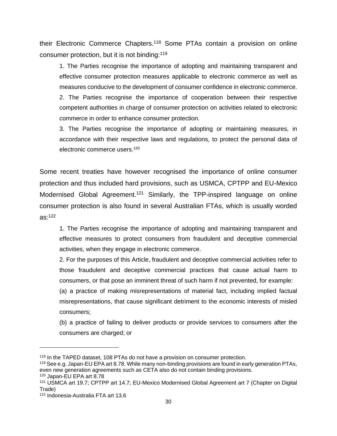their Electronic Commerce Chapters.<sup>118</sup> Some PTAs contain a provision on online consumer protection, but it is not binding:<sup>119</sup>

1. The Parties recognise the importance of adopting and maintaining transparent and effective consumer protection measures applicable to electronic commerce as well as measures conducive to the development of consumer confidence in electronic commerce. 2. The Parties recognise the importance of cooperation between their respective competent authorities in charge of consumer protection on activities related to electronic commerce in order to enhance consumer protection.

3. The Parties recognise the importance of adopting or maintaining measures, in accordance with their respective laws and regulations, to protect the personal data of electronic commerce users.<sup>120</sup>

Some recent treaties have however recognised the importance of online consumer protection and thus included hard provisions, such as USMCA, CPTPP and EU-Mexico Modernised Global Agreement.<sup>121</sup> Similarly, the TPP-inspired language on online consumer protection is also found in several Australian FTAs, which is usually worded  $as:122$ 

1. The Parties recognise the importance of adopting and maintaining transparent and effective measures to protect consumers from fraudulent and deceptive commercial activities, when they engage in electronic commerce.

2. For the purposes of this Article, fraudulent and deceptive commercial activities refer to those fraudulent and deceptive commercial practices that cause actual harm to consumers, or that pose an imminent threat of such harm if not prevented, for example:

(a) a practice of making misrepresentations of material fact, including implied factual misrepresentations, that cause significant detriment to the economic interests of misled consumers;

(b) a practice of failing to deliver products or provide services to consumers after the consumers are charged; or

<sup>118</sup> In the TAPED dataset, 108 PTAs do not have a provision on consumer protection.

<sup>119</sup> See e.g. Japan-EU EPA art 8.78. While many non-binding provisions are found in early generation PTAs, even new generation agreements such as CETA also do not contain binding provisions.

<sup>120</sup> Japan-EU EPA art 8.78

<sup>121</sup> USMCA art 19.7; CPTPP art 14.7; EU-Mexico Modernised Global Agreement art 7 (Chapter on Digital Trade)

<sup>122</sup> Indonesia-Australia FTA art 13.6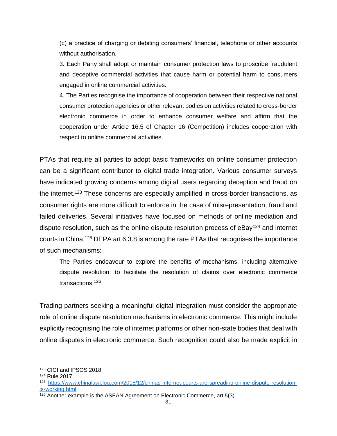(c) a practice of charging or debiting consumers' financial, telephone or other accounts without authorisation.

3. Each Party shall adopt or maintain consumer protection laws to proscribe fraudulent and deceptive commercial activities that cause harm or potential harm to consumers engaged in online commercial activities.

4. The Parties recognise the importance of cooperation between their respective national consumer protection agencies or other relevant bodies on activities related to cross-border electronic commerce in order to enhance consumer welfare and affirm that the cooperation under Article 16.5 of Chapter 16 (Competition) includes cooperation with respect to online commercial activities.

PTAs that require all parties to adopt basic frameworks on online consumer protection can be a significant contributor to digital trade integration. Various consumer surveys have indicated growing concerns among digital users regarding deception and fraud on the internet.<sup>123</sup> These concerns are especially amplified in cross-border transactions, as consumer rights are more difficult to enforce in the case of misrepresentation, fraud and failed deliveries. Several initiatives have focused on methods of online mediation and dispute resolution, such as the online dispute resolution process of  $e$ Bay<sup>124</sup> and internet courts in China.<sup>125</sup> DEPA art 6.3.8 is among the rare PTAs that recognises the importance of such mechanisms:

The Parties endeavour to explore the benefits of mechanisms, including alternative dispute resolution, to facilitate the resolution of claims over electronic commerce transactions.<sup>126</sup>

Trading partners seeking a meaningful digital integration must consider the appropriate role of online dispute resolution mechanisms in electronic commerce. This might include explicitly recognising the role of internet platforms or other non-state bodies that deal with online disputes in electronic commerce. Such recognition could also be made explicit in

<sup>123</sup> CIGI and IPSOS 2018

<sup>124</sup> Rule 2017

<sup>125</sup> [https://www.chinalawblog.com/2018/12/chinas-internet-courts-are-spreading-online-dispute-resolution](https://www.chinalawblog.com/2018/12/chinas-internet-courts-are-spreading-online-dispute-resolution-is-working.html)[is-working.html](https://www.chinalawblog.com/2018/12/chinas-internet-courts-are-spreading-online-dispute-resolution-is-working.html)

 $\frac{126}{126}$  Another example is the ASEAN Agreement on Electronic Commerce, art 5(3).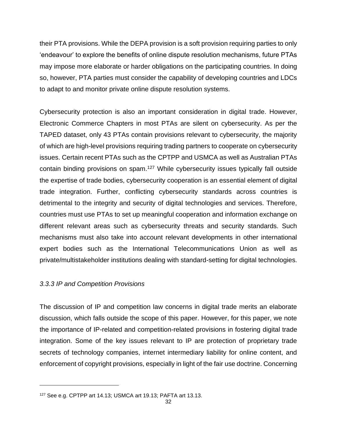their PTA provisions. While the DEPA provision is a soft provision requiring parties to only 'endeavour' to explore the benefits of online dispute resolution mechanisms, future PTAs may impose more elaborate or harder obligations on the participating countries. In doing so, however, PTA parties must consider the capability of developing countries and LDCs to adapt to and monitor private online dispute resolution systems.

Cybersecurity protection is also an important consideration in digital trade. However, Electronic Commerce Chapters in most PTAs are silent on cybersecurity. As per the TAPED dataset, only 43 PTAs contain provisions relevant to cybersecurity, the majority of which are high-level provisions requiring trading partners to cooperate on cybersecurity issues. Certain recent PTAs such as the CPTPP and USMCA as well as Australian PTAs contain binding provisions on spam.<sup>127</sup> While cybersecurity issues typically fall outside the expertise of trade bodies, cybersecurity cooperation is an essential element of digital trade integration. Further, conflicting cybersecurity standards across countries is detrimental to the integrity and security of digital technologies and services. Therefore, countries must use PTAs to set up meaningful cooperation and information exchange on different relevant areas such as cybersecurity threats and security standards. Such mechanisms must also take into account relevant developments in other international expert bodies such as the International Telecommunications Union as well as private/multistakeholder institutions dealing with standard-setting for digital technologies.

#### <span id="page-38-0"></span>*3.3.3 IP and Competition Provisions*

The discussion of IP and competition law concerns in digital trade merits an elaborate discussion, which falls outside the scope of this paper. However, for this paper, we note the importance of IP-related and competition-related provisions in fostering digital trade integration. Some of the key issues relevant to IP are protection of proprietary trade secrets of technology companies, internet intermediary liability for online content, and enforcement of copyright provisions, especially in light of the fair use doctrine. Concerning

<sup>127</sup> See e.g. CPTPP art 14.13; USMCA art 19.13; PAFTA art 13.13.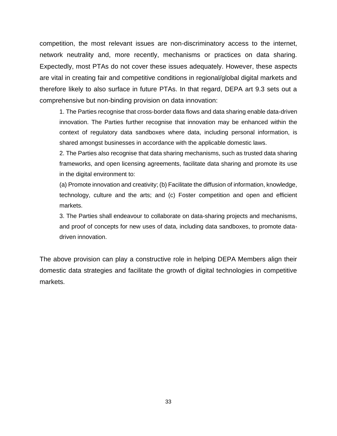competition, the most relevant issues are non-discriminatory access to the internet, network neutrality and, more recently, mechanisms or practices on data sharing. Expectedly, most PTAs do not cover these issues adequately. However, these aspects are vital in creating fair and competitive conditions in regional/global digital markets and therefore likely to also surface in future PTAs. In that regard, DEPA art 9.3 sets out a comprehensive but non-binding provision on data innovation:

1. The Parties recognise that cross-border data flows and data sharing enable data-driven innovation. The Parties further recognise that innovation may be enhanced within the context of regulatory data sandboxes where data, including personal information, is shared amongst businesses in accordance with the applicable domestic laws.

2. The Parties also recognise that data sharing mechanisms, such as trusted data sharing frameworks, and open licensing agreements, facilitate data sharing and promote its use in the digital environment to:

(a) Promote innovation and creativity; (b) Facilitate the diffusion of information, knowledge, technology, culture and the arts; and (c) Foster competition and open and efficient markets.

3. The Parties shall endeavour to collaborate on data-sharing projects and mechanisms, and proof of concepts for new uses of data, including data sandboxes, to promote datadriven innovation.

The above provision can play a constructive role in helping DEPA Members align their domestic data strategies and facilitate the growth of digital technologies in competitive markets.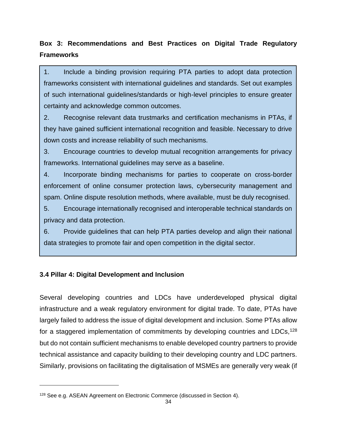# <span id="page-40-1"></span>**Box 3: Recommendations and Best Practices on Digital Trade Regulatory Frameworks**

1. Include a binding provision requiring PTA parties to adopt data protection frameworks consistent with international guidelines and standards. Set out examples of such international guidelines/standards or high-level principles to ensure greater certainty and acknowledge common outcomes.

2. Recognise relevant data trustmarks and certification mechanisms in PTAs, if they have gained sufficient international recognition and feasible. Necessary to drive down costs and increase reliability of such mechanisms.

3. Encourage countries to develop mutual recognition arrangements for privacy frameworks. International guidelines may serve as a baseline.

4. Incorporate binding mechanisms for parties to cooperate on cross-border enforcement of online consumer protection laws, cybersecurity management and spam. Online dispute resolution methods, where available, must be duly recognised.

5. Encourage internationally recognised and interoperable technical standards on privacy and data protection.

6. Provide guidelines that can help PTA parties develop and align their national data strategies to promote fair and open competition in the digital sector.

#### <span id="page-40-0"></span>**3.4 Pillar 4: Digital Development and Inclusion**

Several developing countries and LDCs have underdeveloped physical digital infrastructure and a weak regulatory environment for digital trade. To date, PTAs have largely failed to address the issue of digital development and inclusion. Some PTAs allow for a staggered implementation of commitments by developing countries and LDCs,<sup>128</sup> but do not contain sufficient mechanisms to enable developed country partners to provide technical assistance and capacity building to their developing country and LDC partners. Similarly, provisions on facilitating the digitalisation of MSMEs are generally very weak (if

<sup>128</sup> See e.g. ASEAN Agreement on Electronic Commerce (discussed in Section 4).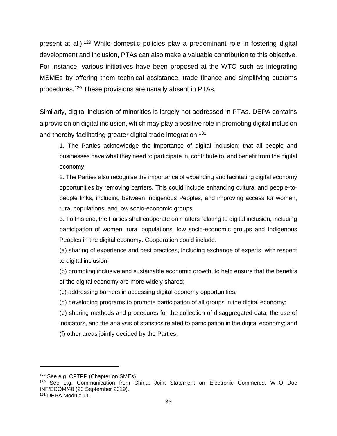present at all).<sup>129</sup> While domestic policies play a predominant role in fostering digital development and inclusion, PTAs can also make a valuable contribution to this objective. For instance, various initiatives have been proposed at the WTO such as integrating MSMEs by offering them technical assistance, trade finance and simplifying customs procedures.<sup>130</sup> These provisions are usually absent in PTAs.

Similarly, digital inclusion of minorities is largely not addressed in PTAs. DEPA contains a provision on digital inclusion, which may play a positive role in promoting digital inclusion and thereby facilitating greater digital trade integration:<sup>131</sup>

1. The Parties acknowledge the importance of digital inclusion; that all people and businesses have what they need to participate in, contribute to, and benefit from the digital economy.

2. The Parties also recognise the importance of expanding and facilitating digital economy opportunities by removing barriers. This could include enhancing cultural and people-topeople links, including between Indigenous Peoples, and improving access for women, rural populations, and low socio-economic groups.

3. To this end, the Parties shall cooperate on matters relating to digital inclusion, including participation of women, rural populations, low socio-economic groups and Indigenous Peoples in the digital economy. Cooperation could include:

(a) sharing of experience and best practices, including exchange of experts, with respect to digital inclusion;

(b) promoting inclusive and sustainable economic growth, to help ensure that the benefits of the digital economy are more widely shared;

(c) addressing barriers in accessing digital economy opportunities;

(d) developing programs to promote participation of all groups in the digital economy;

(e) sharing methods and procedures for the collection of disaggregated data, the use of indicators, and the analysis of statistics related to participation in the digital economy; and (f) other areas jointly decided by the Parties.

<sup>129</sup> See e.g. CPTPP (Chapter on SMEs).

<sup>130</sup> See e.g. Communication from China: Joint Statement on Electronic Commerc*e*, WTO Doc INF/ECOM/40 (23 September 2019).

<sup>131</sup> DEPA Module 11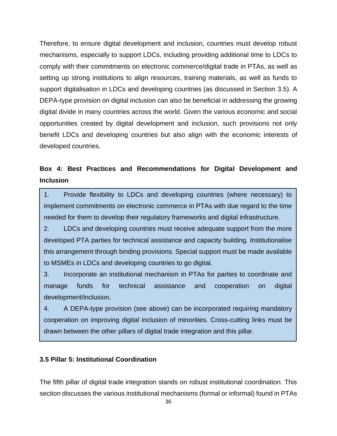Therefore, to ensure digital development and inclusion, countries must develop robust mechanisms, especially to support LDCs, including providing additional time to LDCs to comply with their commitments on electronic commerce/digital trade in PTAs, as well as setting up strong institutions to align resources, training materials, as well as funds to support digitalisation in LDCs and developing countries (as discussed in Section 3.5). A DEPA-type provision on digital inclusion can also be beneficial in addressing the growing digital divide in many countries across the world. Given the various economic and social opportunities created by digital development and inclusion, such provisions not only benefit LDCs and developing countries but also align with the economic interests of developed countries.

## <span id="page-42-1"></span>**Box 4: Best Practices and Recommendations for Digital Development and Inclusion**

1. Provide flexibility to LDCs and developing countries (where necessary) to implement commitments on electronic commerce in PTAs with due regard to the time needed for them to develop their regulatory frameworks and digital infrastructure.

2. LDCs and developing countries must receive adequate support from the more developed PTA parties for technical assistance and capacity building. Institutionalise this arrangement through binding provisions. Special support must be made available to MSMEs in LDCs and developing countries to go digital.

3. Incorporate an institutional mechanism in PTAs for parties to coordinate and manage funds for technical assistance and cooperation on digital development/inclusion.

4. A DEPA-type provision (see above) can be incorporated requiring mandatory cooperation on improving digital inclusion of minorities. Cross-cutting links must be drawn between the other pillars of digital trade integration and this pillar.

#### <span id="page-42-0"></span>**3.5 Pillar 5: Institutional Coordination**

The fifth pillar of digital trade integration stands on robust institutional coordination. This section discusses the various institutional mechanisms (formal or informal) found in PTAs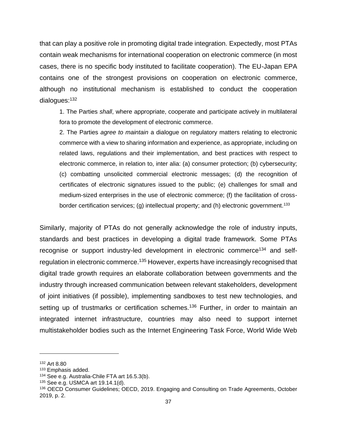that can play a positive role in promoting digital trade integration. Expectedly, most PTAs contain weak mechanisms for international cooperation on electronic commerce (in most cases, there is no specific body instituted to facilitate cooperation). The EU-Japan EPA contains one of the strongest provisions on cooperation on electronic commerce, although no institutional mechanism is established to conduct the cooperation dialogues:<sup>132</sup>

1. The Parties *shall*, where appropriate, cooperate and participate actively in multilateral fora to promote the development of electronic commerce.

2. The Parties *agree to maintain* a dialogue on regulatory matters relating to electronic commerce with a view to sharing information and experience, as appropriate, including on related laws, regulations and their implementation, and best practices with respect to electronic commerce, in relation to, inter alia: (a) consumer protection; (b) cybersecurity; (c) combatting unsolicited commercial electronic messages; (d) the recognition of certificates of electronic signatures issued to the public; (e) challenges for small and medium-sized enterprises in the use of electronic commerce; (f) the facilitation of crossborder certification services; (g) intellectual property; and (h) electronic government.<sup>133</sup>

Similarly, majority of PTAs do not generally acknowledge the role of industry inputs, standards and best practices in developing a digital trade framework. Some PTAs recognise or support industry-led development in electronic commerce<sup>134</sup> and selfregulation in electronic commerce.<sup>135</sup> However, experts have increasingly recognised that digital trade growth requires an elaborate collaboration between governments and the industry through increased communication between relevant stakeholders, development of joint initiatives (if possible), implementing sandboxes to test new technologies, and setting up of trustmarks or certification schemes.<sup>136</sup> Further, in order to maintain an integrated internet infrastructure, countries may also need to support internet multistakeholder bodies such as the Internet Engineering Task Force, World Wide Web

<sup>132</sup> Art 8.80

<sup>133</sup> Emphasis added.

<sup>134</sup> See e.g. Australia-Chile FTA art 16.5.3(b).

<sup>135</sup> See e.g. USMCA art 19.14.1(d).

<sup>136</sup> OECD Consumer Guidelines; OECD, 2019. Engaging and Consulting on Trade Agreements, October 2019, p. 2.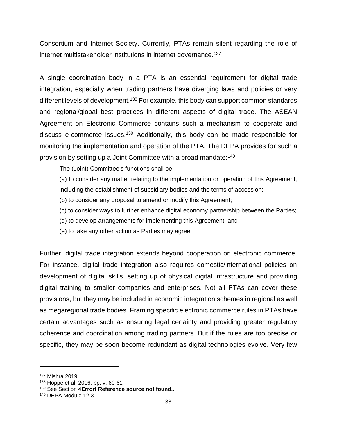Consortium and Internet Society. Currently, PTAs remain silent regarding the role of internet multistakeholder institutions in internet governance.<sup>137</sup>

A single coordination body in a PTA is an essential requirement for digital trade integration, especially when trading partners have diverging laws and policies or very different levels of development.<sup>138</sup> For example, this body can support common standards and regional/global best practices in different aspects of digital trade. The ASEAN Agreement on Electronic Commerce contains such a mechanism to cooperate and discuss e-commerce issues.<sup>139</sup> Additionally, this body can be made responsible for monitoring the implementation and operation of the PTA. The DEPA provides for such a provision by setting up a Joint Committee with a broad mandate:<sup>140</sup>

The (Joint) Committee's functions shall be:

(a) to consider any matter relating to the implementation or operation of this Agreement,

including the establishment of subsidiary bodies and the terms of accession;

(b) to consider any proposal to amend or modify this Agreement;

(c) to consider ways to further enhance digital economy partnership between the Parties;

(d) to develop arrangements for implementing this Agreement; and

(e) to take any other action as Parties may agree.

Further, digital trade integration extends beyond cooperation on electronic commerce. For instance, digital trade integration also requires domestic/international policies on development of digital skills, setting up of physical digital infrastructure and providing digital training to smaller companies and enterprises. Not all PTAs can cover these provisions, but they may be included in economic integration schemes in regional as well as megaregional trade bodies. Framing specific electronic commerce rules in PTAs have certain advantages such as ensuring legal certainty and providing greater regulatory coherence and coordination among trading partners. But if the rules are too precise or specific, they may be soon become redundant as digital technologies evolve. Very few

<sup>137</sup> Mishra 2019

<sup>138</sup> Hoppe et al. 2016, pp. v, 60-61

<sup>139</sup> See Section 4**Error! Reference source not found.**.

<sup>140</sup> DEPA Module 12.3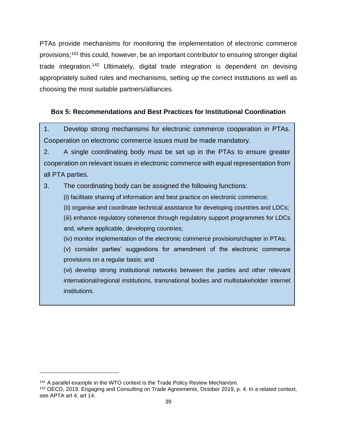PTAs provide mechanisms for monitoring the implementation of electronic commerce provisions;<sup>141</sup> this could, however, be an important contributor to ensuring stronger digital trade integration.<sup>142</sup> Ultimately, digital trade integration is dependent on devising appropriately suited rules and mechanisms, setting up the correct institutions as well as choosing the most suitable partners/alliances.

#### <span id="page-45-0"></span>**Box 5: Recommendations and Best Practices for Institutional Coordination**

1. Develop strong mechanisms for electronic commerce cooperation in PTAs. Cooperation on electronic commerce issues must be made mandatory.

2. A single coordinating body must be set up in the PTAs to ensure greater cooperation on relevant issues in electronic commerce with equal representation from all PTA parties.

3. The coordinating body can be assigned the following functions:

(i) facilitate sharing of information and best practice on electronic commerce;

(ii) organise and coordinate technical assistance for developing countries and LDCs;

(iii) enhance regulatory coherence through regulatory support programmes for LDCs and, where applicable, developing countries;

(iv) monitor implementation of the electronic commerce provisions/chapter in PTAs;

(v) consider parties' suggestions for amendment of the electronic commerce provisions on a regular basis; and

(vi) develop strong institutional networks between the parties and other relevant international/regional institutions, transnational bodies and multistakeholder internet institutions.

<sup>&</sup>lt;sup>141</sup> A parallel example in the WTO context is the Trade Policy Review Mechanism.

<sup>142</sup> OECD, 2019. Engaging and Consulting on Trade Agreements, October 2019, p. 4. In a related context, see APTA art 4; art 14.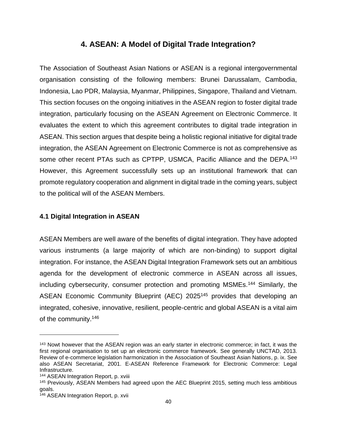### **4. ASEAN: A Model of Digital Trade Integration?**

<span id="page-46-0"></span>The Association of Southeast Asian Nations or ASEAN is a regional intergovernmental organisation consisting of the following members: Brunei Darussalam, Cambodia, Indonesia, Lao PDR, Malaysia, Myanmar, Philippines, Singapore, Thailand and Vietnam. This section focuses on the ongoing initiatives in the ASEAN region to foster digital trade integration, particularly focusing on the ASEAN Agreement on Electronic Commerce. It evaluates the extent to which this agreement contributes to digital trade integration in ASEAN. This section argues that despite being a holistic regional initiative for digital trade integration, the ASEAN Agreement on Electronic Commerce is not as comprehensive as some other recent PTAs such as CPTPP, USMCA, Pacific Alliance and the DEPA.<sup>143</sup> However, this Agreement successfully sets up an institutional framework that can promote regulatory cooperation and alignment in digital trade in the coming years, subject to the political will of the ASEAN Members.

#### <span id="page-46-1"></span>**4.1 Digital Integration in ASEAN**

ASEAN Members are well aware of the benefits of digital integration. They have adopted various instruments (a large majority of which are non-binding) to support digital integration. For instance, the ASEAN Digital Integration Framework sets out an ambitious agenda for the development of electronic commerce in ASEAN across all issues, including cybersecurity, consumer protection and promoting MSMEs.<sup>144</sup> Similarly, the ASEAN Economic Community Blueprint (AEC) 2025<sup>145</sup> provides that developing an integrated, cohesive, innovative, resilient, people-centric and global ASEAN is a vital aim of the community.<sup>146</sup>

<sup>143</sup> Nowt however that the ASEAN region was an early starter in electronic commerce; in fact, it was the first regional organisation to set up an electronic commerce framework. See generally UNCTAD, 2013. Review of e-commerce legislation harmonization in the Association of Southeast Asian Nations, p. ix. See also ASEAN Secretariat, 2001. E-ASEAN Reference Framework for Electronic Commerce: Legal Infrastructure.

<sup>144</sup> ASEAN Integration Report, p. xviii

<sup>145</sup> Previously, ASEAN Members had agreed upon the AEC Blueprint 2015, setting much less ambitious goals.

<sup>146</sup> ASEAN Integration Report, p. xvii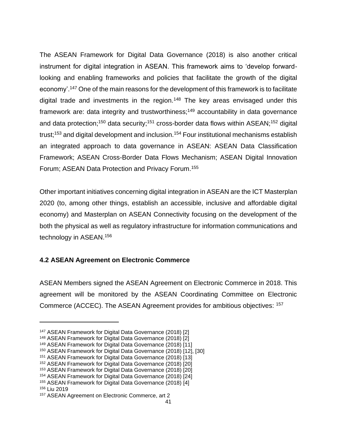The ASEAN Framework for Digital Data Governance (2018) is also another critical instrument for digital integration in ASEAN. This framework aims to 'develop forwardlooking and enabling frameworks and policies that facilitate the growth of the digital economy'.<sup>147</sup> One of the main reasons for the development of this framework is to facilitate digital trade and investments in the region.<sup>148</sup> The key areas envisaged under this framework are: data integrity and trustworthiness;<sup>149</sup> accountability in data governance and data protection;<sup>150</sup> data security;<sup>151</sup> cross-border data flows within ASEAN;<sup>152</sup> digital trust;<sup>153</sup> and digital development and inclusion.<sup>154</sup> Four institutional mechanisms establish an integrated approach to data governance in ASEAN: ASEAN Data Classification Framework; ASEAN Cross-Border Data Flows Mechanism; ASEAN Digital Innovation Forum; ASEAN Data Protection and Privacy Forum.<sup>155</sup>

Other important initiatives concerning digital integration in ASEAN are the ICT Masterplan 2020 (to, among other things, establish an accessible, inclusive and affordable digital economy) and Masterplan on ASEAN Connectivity focusing on the development of the both the physical as well as regulatory infrastructure for information communications and technology in ASEAN.<sup>156</sup>

#### <span id="page-47-0"></span>**4.2 ASEAN Agreement on Electronic Commerce**

ASEAN Members signed the ASEAN Agreement on Electronic Commerce in 2018. This agreement will be monitored by the ASEAN Coordinating Committee on Electronic Commerce (ACCEC). The ASEAN Agreement provides for ambitious objectives: <sup>157</sup>

<sup>147</sup> ASEAN Framework for Digital Data Governance (2018) [2]

<sup>148</sup> ASEAN Framework for Digital Data Governance (2018) [2]

<sup>149</sup> ASEAN Framework for Digital Data Governance (2018) [11]

<sup>150</sup> ASEAN Framework for Digital Data Governance (2018) [12], [30]

<sup>151</sup> ASEAN Framework for Digital Data Governance (2018) [13]

<sup>152</sup> ASEAN Framework for Digital Data Governance (2018) [20]

<sup>153</sup> ASEAN Framework for Digital Data Governance (2018) [20]

<sup>154</sup> ASEAN Framework for Digital Data Governance (2018) [24]

<sup>155</sup> ASEAN Framework for Digital Data Governance (2018) [4]

<sup>156</sup> Liu 2019

<sup>157</sup> ASEAN Agreement on Electronic Commerce, art 2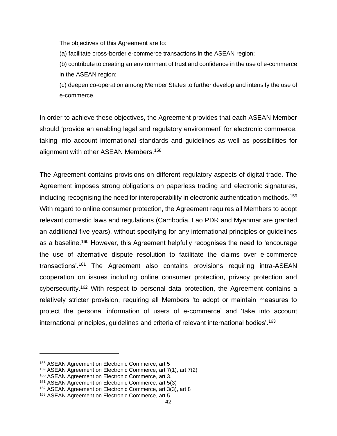The objectives of this Agreement are to:

(a) facilitate cross-border e-commerce transactions in the ASEAN region;

(b) contribute to creating an environment of trust and confidence in the use of e-commerce in the ASEAN region;

(c) deepen co-operation among Member States to further develop and intensify the use of e-commerce.

In order to achieve these objectives, the Agreement provides that each ASEAN Member should 'provide an enabling legal and regulatory environment' for electronic commerce, taking into account international standards and guidelines as well as possibilities for alignment with other ASEAN Members.<sup>158</sup>

The Agreement contains provisions on different regulatory aspects of digital trade. The Agreement imposes strong obligations on paperless trading and electronic signatures, including recognising the need for interoperability in electronic authentication methods.<sup>159</sup> With regard to online consumer protection, the Agreement requires all Members to adopt relevant domestic laws and regulations (Cambodia, Lao PDR and Myanmar are granted an additional five years), without specifying for any international principles or guidelines as a baseline.<sup>160</sup> However, this Agreement helpfully recognises the need to 'encourage the use of alternative dispute resolution to facilitate the claims over e-commerce transactions'.<sup>161</sup> The Agreement also contains provisions requiring intra-ASEAN cooperation on issues including online consumer protection, privacy protection and cybersecurity.<sup>162</sup> With respect to personal data protection, the Agreement contains a relatively stricter provision, requiring all Members 'to adopt or maintain measures to protect the personal information of users of e-commerce' and 'take into account international principles, guidelines and criteria of relevant international bodies'.<sup>163</sup>

<sup>158</sup> ASEAN Agreement on Electronic Commerce, art 5

<sup>159</sup> ASEAN Agreement on Electronic Commerce, art 7(1), art 7(2)

<sup>160</sup> ASEAN Agreement on Electronic Commerce, art 3.

<sup>161</sup> ASEAN Agreement on Electronic Commerce, art 5(3)

<sup>162</sup> ASEAN Agreement on Electronic Commerce, art 3(3), art 8

<sup>163</sup> ASEAN Agreement on Electronic Commerce, art 5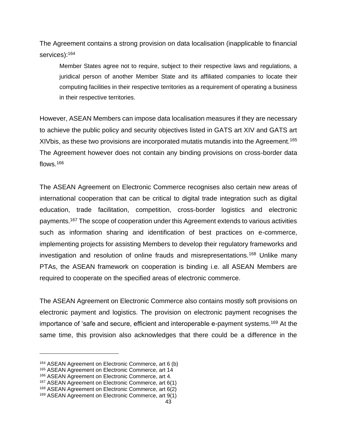The Agreement contains a strong provision on data localisation (inapplicable to financial services):<sup>164</sup>

Member States agree not to require, subject to their respective laws and regulations, a juridical person of another Member State and its affiliated companies to locate their computing facilities in their respective territories as a requirement of operating a business in their respective territories.

However, ASEAN Members can impose data localisation measures if they are necessary to achieve the public policy and security objectives listed in GATS art XIV and GATS art XIV bis, as these two provisions are incorporated mutatis mutandis into the Agreement.<sup>165</sup> The Agreement however does not contain any binding provisions on cross-border data flows.<sup>166</sup>

The ASEAN Agreement on Electronic Commerce recognises also certain new areas of international cooperation that can be critical to digital trade integration such as digital education, trade facilitation, competition, cross-border logistics and electronic payments.<sup>167</sup> The scope of cooperation under this Agreement extends to various activities such as information sharing and identification of best practices on e-commerce, implementing projects for assisting Members to develop their regulatory frameworks and investigation and resolution of online frauds and misrepresentations.<sup>168</sup> Unlike many PTAs, the ASEAN framework on cooperation is binding i.e. all ASEAN Members are required to cooperate on the specified areas of electronic commerce.

<span id="page-49-0"></span>The ASEAN Agreement on Electronic Commerce also contains mostly soft provisions on electronic payment and logistics. The provision on electronic payment recognises the importance of 'safe and secure, efficient and interoperable e-payment systems.<sup>169</sup> At the same time, this provision also acknowledges that there could be a difference in the

<sup>164</sup> ASEAN Agreement on Electronic Commerce, art 6 (b)

<sup>165</sup> ASEAN Agreement on Electronic Commerce, art 14

<sup>166</sup> ASEAN Agreement on Electronic Commerce, art 4.

<sup>167</sup> ASEAN Agreement on Electronic Commerce, art 6(1)

<sup>168</sup> ASEAN Agreement on Electronic Commerce, art 6(2)

<sup>169</sup> ASEAN Agreement on Electronic Commerce, art 9(1)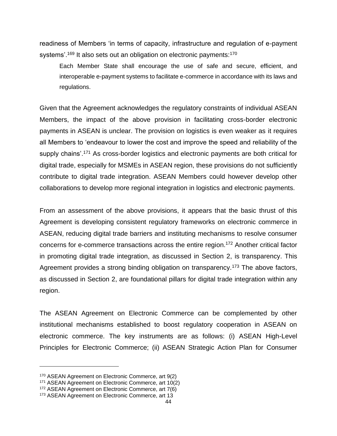readiness of Members 'in terms of capacity, infrastructure and regulation of e-payment systems'.<sup>[169](#page-49-0)</sup> It also sets out an obligation on electronic payments:<sup>170</sup>

Each Member State shall encourage the use of safe and secure, efficient, and interoperable e-payment systems to facilitate e-commerce in accordance with its laws and regulations.

Given that the Agreement acknowledges the regulatory constraints of individual ASEAN Members, the impact of the above provision in facilitating cross-border electronic payments in ASEAN is unclear. The provision on logistics is even weaker as it requires all Members to 'endeavour to lower the cost and improve the speed and reliability of the supply chains'.<sup>171</sup> As cross-border logistics and electronic payments are both critical for digital trade, especially for MSMEs in ASEAN region, these provisions do not sufficiently contribute to digital trade integration. ASEAN Members could however develop other collaborations to develop more regional integration in logistics and electronic payments.

From an assessment of the above provisions, it appears that the basic thrust of this Agreement is developing consistent regulatory frameworks on electronic commerce in ASEAN, reducing digital trade barriers and instituting mechanisms to resolve consumer concerns for e-commerce transactions across the entire region.<sup>172</sup> Another critical factor in promoting digital trade integration, as discussed in Section 2, is transparency. This Agreement provides a strong binding obligation on transparency.<sup>173</sup> The above factors, as discussed in Section 2, are foundational pillars for digital trade integration within any region.

The ASEAN Agreement on Electronic Commerce can be complemented by other institutional mechanisms established to boost regulatory cooperation in ASEAN on electronic commerce. The key instruments are as follows: (i) ASEAN High-Level Principles for Electronic Commerce; (ii) ASEAN Strategic Action Plan for Consumer

<sup>170</sup> ASEAN Agreement on Electronic Commerce, art 9(2)

<sup>171</sup> ASEAN Agreement on Electronic Commerce, art 10(2)

<sup>172</sup> ASEAN Agreement on Electronic Commerce, art 7(6)

<sup>173</sup> ASEAN Agreement on Electronic Commerce, art 13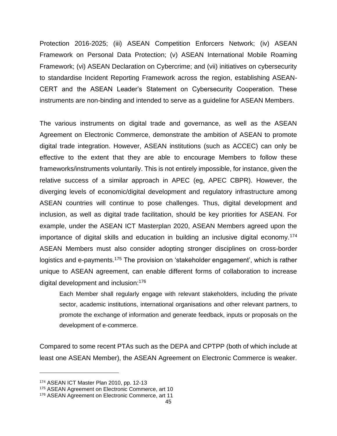Protection 2016-2025; (iii) ASEAN Competition Enforcers Network; (iv) ASEAN Framework on Personal Data Protection; (v) ASEAN International Mobile Roaming Framework; (vi) ASEAN Declaration on Cybercrime; and (vii) initiatives on cybersecurity to standardise Incident Reporting Framework across the region, establishing ASEAN-CERT and the ASEAN Leader's Statement on Cybersecurity Cooperation. These instruments are non-binding and intended to serve as a guideline for ASEAN Members.

The various instruments on digital trade and governance, as well as the ASEAN Agreement on Electronic Commerce, demonstrate the ambition of ASEAN to promote digital trade integration. However, ASEAN institutions (such as ACCEC) can only be effective to the extent that they are able to encourage Members to follow these frameworks/instruments voluntarily. This is not entirely impossible, for instance, given the relative success of a similar approach in APEC (eg, APEC CBPR). However, the diverging levels of economic/digital development and regulatory infrastructure among ASEAN countries will continue to pose challenges. Thus, digital development and inclusion, as well as digital trade facilitation, should be key priorities for ASEAN. For example, under the ASEAN ICT Masterplan 2020, ASEAN Members agreed upon the importance of digital skills and education in building an inclusive digital economy.<sup>174</sup> ASEAN Members must also consider adopting stronger disciplines on cross-border logistics and e-payments.<sup>175</sup> The provision on 'stakeholder engagement', which is rather unique to ASEAN agreement, can enable different forms of collaboration to increase digital development and inclusion:<sup>176</sup>

Each Member shall regularly engage with relevant stakeholders, including the private sector, academic institutions, international organisations and other relevant partners, to promote the exchange of information and generate feedback, inputs or proposals on the development of e-commerce.

Compared to some recent PTAs such as the DEPA and CPTPP (both of which include at least one ASEAN Member), the ASEAN Agreement on Electronic Commerce is weaker.

<sup>174</sup> ASEAN ICT Master Plan 2010, pp. 12-13

<sup>175</sup> ASEAN Agreement on Electronic Commerce, art 10

<sup>176</sup> ASEAN Agreement on Electronic Commerce, art 11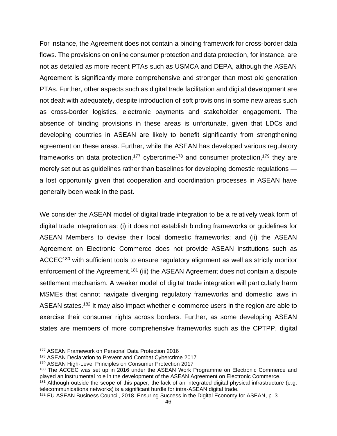For instance, the Agreement does not contain a binding framework for cross-border data flows. The provisions on online consumer protection and data protection, for instance, are not as detailed as more recent PTAs such as USMCA and DEPA, although the ASEAN Agreement is significantly more comprehensive and stronger than most old generation PTAs. Further, other aspects such as digital trade facilitation and digital development are not dealt with adequately, despite introduction of soft provisions in some new areas such as cross-border logistics, electronic payments and stakeholder engagement. The absence of binding provisions in these areas is unfortunate, given that LDCs and developing countries in ASEAN are likely to benefit significantly from strengthening agreement on these areas. Further, while the ASEAN has developed various regulatory frameworks on data protection,<sup>177</sup> cybercrime<sup>178</sup> and consumer protection,<sup>179</sup> they are merely set out as guidelines rather than baselines for developing domestic regulations a lost opportunity given that cooperation and coordination processes in ASEAN have generally been weak in the past.

We consider the ASEAN model of digital trade integration to be a relatively weak form of digital trade integration as: (i) it does not establish binding frameworks or guidelines for ASEAN Members to devise their local domestic frameworks; and (ii) the ASEAN Agreement on Electronic Commerce does not provide ASEAN institutions such as ACCEC<sup>180</sup> with sufficient tools to ensure regulatory alignment as well as strictly monitor enforcement of the Agreement.<sup>181</sup> (iii) the ASEAN Agreement does not contain a dispute settlement mechanism. A weaker model of digital trade integration will particularly harm MSMEs that cannot navigate diverging regulatory frameworks and domestic laws in ASEAN states.<sup>182</sup> It may also impact whether e-commerce users in the region are able to exercise their consumer rights across borders. Further, as some developing ASEAN states are members of more comprehensive frameworks such as the CPTPP, digital

<sup>177</sup> ASEAN Framework on Personal Data Protection 2016

<sup>178</sup> ASEAN Declaration to Prevent and Combat Cybercrime 2017

<sup>179</sup> ASEAN High-Level Principles on Consumer Protection 2017

<sup>&</sup>lt;sup>180</sup> The ACCEC was set up in 2016 under the ASEAN Work Programme on Electronic Commerce and played an instrumental role in the development of the ASEAN Agreement on Electronic Commerce.

<sup>&</sup>lt;sup>181</sup> Although outside the scope of this paper, the lack of an integrated digital physical infrastructure (e.g. telecommunications networks) is a significant hurdle for intra-ASEAN digital trade.

<sup>182</sup> EU ASEAN Business Council, 2018. Ensuring Success in the Digital Economy for ASEAN, p. 3.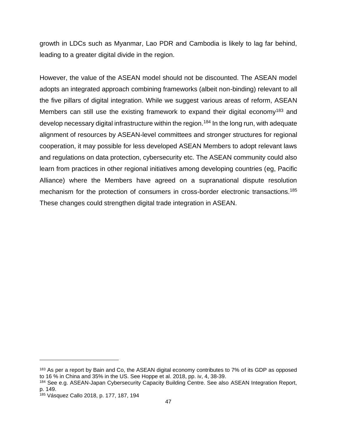growth in LDCs such as Myanmar, Lao PDR and Cambodia is likely to lag far behind, leading to a greater digital divide in the region.

However, the value of the ASEAN model should not be discounted. The ASEAN model adopts an integrated approach combining frameworks (albeit non-binding) relevant to all the five pillars of digital integration. While we suggest various areas of reform, ASEAN Members can still use the existing framework to expand their digital economy<sup>183</sup> and develop necessary digital infrastructure within the region.<sup>184</sup> In the long run, with adequate alignment of resources by ASEAN-level committees and stronger structures for regional cooperation, it may possible for less developed ASEAN Members to adopt relevant laws and regulations on data protection, cybersecurity etc. The ASEAN community could also learn from practices in other regional initiatives among developing countries (eg, Pacific Alliance) where the Members have agreed on a supranational dispute resolution mechanism for the protection of consumers in cross-border electronic transactions.<sup>185</sup> These changes could strengthen digital trade integration in ASEAN.

<sup>&</sup>lt;sup>183</sup> As per a report by Bain and Co, the ASEAN digital economy contributes to 7% of its GDP as opposed to 16 % in China and 35% in the US. See Hoppe et al. 2018, pp. iv, 4, 38-39.

<sup>184</sup> See e.g. ASEAN-Japan Cybersecurity Capacity Building Centre. See also ASEAN Integration Report, p. 149.

<sup>185</sup> Vásquez Callo 2018, p. 177, 187, 194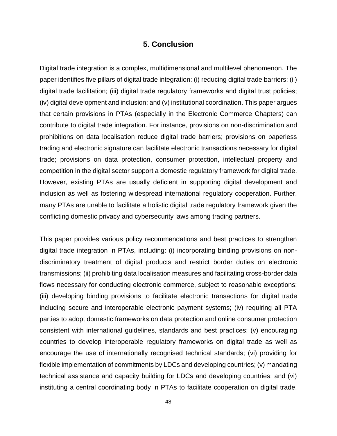#### **5. Conclusion**

<span id="page-54-0"></span>Digital trade integration is a complex, multidimensional and multilevel phenomenon. The paper identifies five pillars of digital trade integration: (i) reducing digital trade barriers; (ii) digital trade facilitation; (iii) digital trade regulatory frameworks and digital trust policies; (iv) digital development and inclusion; and (v) institutional coordination. This paper argues that certain provisions in PTAs (especially in the Electronic Commerce Chapters) can contribute to digital trade integration. For instance, provisions on non-discrimination and prohibitions on data localisation reduce digital trade barriers; provisions on paperless trading and electronic signature can facilitate electronic transactions necessary for digital trade; provisions on data protection, consumer protection, intellectual property and competition in the digital sector support a domestic regulatory framework for digital trade. However, existing PTAs are usually deficient in supporting digital development and inclusion as well as fostering widespread international regulatory cooperation. Further, many PTAs are unable to facilitate a holistic digital trade regulatory framework given the conflicting domestic privacy and cybersecurity laws among trading partners.

This paper provides various policy recommendations and best practices to strengthen digital trade integration in PTAs, including: (i) incorporating binding provisions on nondiscriminatory treatment of digital products and restrict border duties on electronic transmissions; (ii) prohibiting data localisation measures and facilitating cross-border data flows necessary for conducting electronic commerce, subject to reasonable exceptions; (iii) developing binding provisions to facilitate electronic transactions for digital trade including secure and interoperable electronic payment systems; (iv) requiring all PTA parties to adopt domestic frameworks on data protection and online consumer protection consistent with international guidelines, standards and best practices; (v) encouraging countries to develop interoperable regulatory frameworks on digital trade as well as encourage the use of internationally recognised technical standards; (vi) providing for flexible implementation of commitments by LDCs and developing countries; (v) mandating technical assistance and capacity building for LDCs and developing countries; and (vi) instituting a central coordinating body in PTAs to facilitate cooperation on digital trade,

48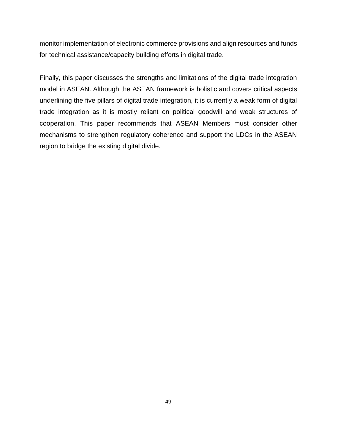monitor implementation of electronic commerce provisions and align resources and funds for technical assistance/capacity building efforts in digital trade.

Finally, this paper discusses the strengths and limitations of the digital trade integration model in ASEAN. Although the ASEAN framework is holistic and covers critical aspects underlining the five pillars of digital trade integration, it is currently a weak form of digital trade integration as it is mostly reliant on political goodwill and weak structures of cooperation. This paper recommends that ASEAN Members must consider other mechanisms to strengthen regulatory coherence and support the LDCs in the ASEAN region to bridge the existing digital divide.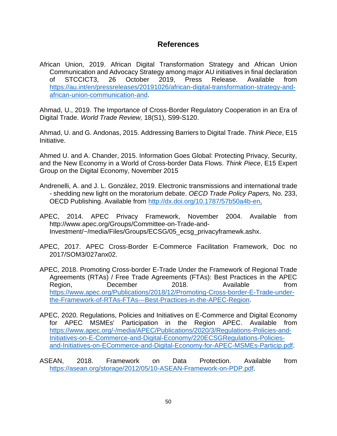#### <span id="page-56-0"></span>**References**

African Union, 2019. African Digital Transformation Strategy and African Union Communication and Advocacy Strategy among major AU initiatives in final declaration of STCCICT3, 26 October 2019, Press Release. Available from [https://au.int/en/pressreleases/20191026/african-digital-transformation-strategy-and](https://au.int/en/pressreleases/20191026/african-digital-transformation-strategy-and-african-union-communication-and)[african-union-communication-and.](https://au.int/en/pressreleases/20191026/african-digital-transformation-strategy-and-african-union-communication-and)

Ahmad, U., 2019. The Importance of Cross-Border Regulatory Cooperation in an Era of Digital Trade. *World Trade Review,* 18(S1), S99-S120.

Ahmad, U. and G. Andonas, 2015. Addressing Barriers to Digital Trade. *Think Piece*, E15 Initiative.

Ahmed U. and A. Chander, 2015. Information Goes Global: Protecting Privacy, Security, and the New Economy in a World of Cross-border Data Flows. *Think Piece*, E15 Expert Group on the Digital Economy, November 2015

- Andrenelli, A. and J. L. González, 2019. Electronic transmissions and international trade - shedding new light on the moratorium debate. *OECD Trade Policy Papers,* No. 233, OECD Publishing. Available from [http://dx.doi.org/10.1787/57b50a4b-en.](http://dx.doi.org/10.1787/57b50a4b-en)
- APEC, 2014. APEC Privacy Framework, November 2004. Available from http://www.apec.org/Groups/Committee-on-Trade-and-Investment/~/media/Files/Groups/ECSG/05\_ecsg\_privacyframewk.ashx.
- APEC, 2017. APEC Cross-Border E-Commerce Facilitation Framework, Doc no 2017/SOM3/027anx02.
- APEC, 2018. Promoting Cross-border E-Trade Under the Framework of Regional Trade Agreements (RTAs) / Free Trade Agreements (FTAs): Best Practices in the APEC Region, December 2018. Available from [https://www.apec.org/Publications/2018/12/Promoting-Cross-border-E-Trade-under](https://www.apec.org/Publications/2018/12/Promoting-Cross-border-E-Trade-under-the-Framework-of-RTAs-FTAs---Best-Practices-in-the-APEC-Region)[the-Framework-of-RTAs-FTAs---Best-Practices-in-the-APEC-Region.](https://www.apec.org/Publications/2018/12/Promoting-Cross-border-E-Trade-under-the-Framework-of-RTAs-FTAs---Best-Practices-in-the-APEC-Region)
- APEC, 2020. Regulations, Policies and Initiatives on E-Commerce and Digital Economy for APEC MSMEs' Participation in the Region APEC. Available from [https://www.apec.org/-/media/APEC/Publications/2020/3/Regulations-Policies-and-](https://www.apec.org/-/media/APEC/Publications/2020/3/Regulations-Policies-and-Initiatives-on-E-Commerce-and-Digital-Economy/220ECSGRegulations-Policies-and-Initiatives-on-ECommerce-and-Digital-Economy-for-APEC-MSMEs-Particip.pdf)[Initiatives-on-E-Commerce-and-Digital-Economy/220ECSGRegulations-Policies](https://www.apec.org/-/media/APEC/Publications/2020/3/Regulations-Policies-and-Initiatives-on-E-Commerce-and-Digital-Economy/220ECSGRegulations-Policies-and-Initiatives-on-ECommerce-and-Digital-Economy-for-APEC-MSMEs-Particip.pdf)[and-Initiatives-on-ECommerce-and-Digital-Economy-for-APEC-MSMEs-Particip.pdf.](https://www.apec.org/-/media/APEC/Publications/2020/3/Regulations-Policies-and-Initiatives-on-E-Commerce-and-Digital-Economy/220ECSGRegulations-Policies-and-Initiatives-on-ECommerce-and-Digital-Economy-for-APEC-MSMEs-Particip.pdf)
- ASEAN, 2018. Framework on Data Protection. Available from [https://asean.org/storage/2012/05/10-ASEAN-Framework-on-PDP.pdf.](https://asean.org/storage/2012/05/10-ASEAN-Framework-on-PDP.pdf)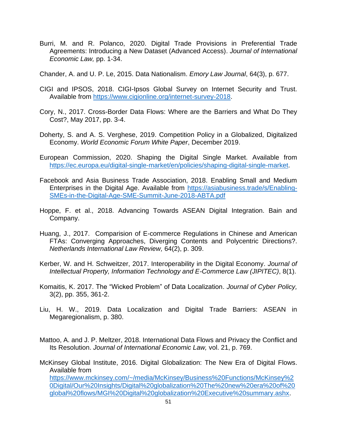Burri, M. and R. Polanco, 2020. Digital Trade Provisions in Preferential Trade Agreements: Introducing a New Dataset (Advanced Access). *Journal of International Economic Law,* pp. 1-34.

Chander, A. and U. P. Le, 2015. Data Nationalism. *Emory Law Journal*, 64(3), p. 677.

- CIGI and IPSOS, 2018. CIGI-Ipsos Global Survey on Internet Security and Trust. Available from [https://www.cigionline.org/internet-survey-2018.](https://www.cigionline.org/internet-survey-2018)
- Cory, N., 2017. Cross-Border Data Flows: Where are the Barriers and What Do They Cost?, May 2017, pp. 3-4.
- Doherty, S. and A. S. Verghese, 2019. Competition Policy in a Globalized, Digitalized Economy. *World Economic Forum White Paper*, December 2019.
- European Commission, 2020. Shaping the Digital Single Market. Available from [https://ec.europa.eu/digital-single-market/en/policies/shaping-digital-single-market.](https://ec.europa.eu/digital-single-market/en/policies/shaping-digital-single-market)
- Facebook and Asia Business Trade Association, 2018. Enabling Small and Medium Enterprises in the Digital Age. Available from [https://asiabusiness.trade/s/Enabling-](https://asiabusiness.trade/s/Enabling-SMEs-in-the-Digital-Age-SME-Summit-June-2018-ABTA.pdf)[SMEs-in-the-Digital-Age-SME-Summit-June-2018-ABTA.pdf](https://asiabusiness.trade/s/Enabling-SMEs-in-the-Digital-Age-SME-Summit-June-2018-ABTA.pdf)
- Hoppe, F. et al., 2018. Advancing Towards ASEAN Digital Integration. Bain and Company.
- Huang, J., 2017. Comparision of E-commerce Regulations in Chinese and American FTAs: Converging Approaches, Diverging Contents and Polycentric Directions?. *Netherlands International Law Review,* 64(2), p. 309.
- Kerber, W. and H. Schweitzer, 2017. Interoperability in the Digital Economy. *Journal of Intellectual Property, Information Technology and E-Commerce Law (JIPITEC)*, 8(1).
- Komaitis, K. 2017. The "Wicked Problem" of Data Localization. *Journal of Cyber Policy,*  3(2), pp. 355, 361-2.
- Liu, H. W., 2019. Data Localization and Digital Trade Barriers: ASEAN in Megaregionalism, p. 380.
- Mattoo, A. and J. P. Meltzer, 2018. International Data Flows and Privacy the Conflict and Its Resolution. *Journal of International Economic Law,* vol. 21, p. 769.

McKinsey Global Institute, 2016. Digital Globalization: The New Era of Digital Flows. Available from [https://www.mckinsey.com/~/media/McKinsey/Business%20Functions/McKinsey%2](https://www.mckinsey.com/~/media/McKinsey/Business%20Functions/McKinsey%20Digital/Our%20Insights/Digital%20globalization%20The%20new%20era%20of%20global%20flows/MGI%20Digital%20globalization%20Executive%20summary.ashx) [0Digital/Our%20Insights/Digital%20globalization%20The%20new%20era%20of%20](https://www.mckinsey.com/~/media/McKinsey/Business%20Functions/McKinsey%20Digital/Our%20Insights/Digital%20globalization%20The%20new%20era%20of%20global%20flows/MGI%20Digital%20globalization%20Executive%20summary.ashx) [global%20flows/MGI%20Digital%20globalization%20Executive%20summary.ashx.](https://www.mckinsey.com/~/media/McKinsey/Business%20Functions/McKinsey%20Digital/Our%20Insights/Digital%20globalization%20The%20new%20era%20of%20global%20flows/MGI%20Digital%20globalization%20Executive%20summary.ashx)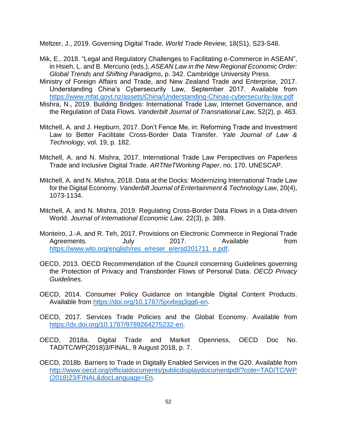Meltzer, J., 2019. Governing Digital Trade. *World Trade Review,* 18(S1), S23-S48.

- Mik, E., 2018. "Legal and Regulatory Challenges to Facilitating e-Commerce in ASEAN", in Hsieh, L. and B. Mercurio (eds.), *ASEAN Law in the New Regional Economic Order: Global Trends and Shifting Paradigms,* p. 342. Cambridge University Press.
- Ministry of Foreign Affairs and Trade, and New Zealand Trade and Enterprise, 2017. Understanding China's Cybersecurity Law, September 2017. Available from <https://www.mfat.govt.nz/assets/China/Understanding-Chinas-cybersecurity-law.pdf>
- Mishra, N., 2019. Building Bridges: International Trade Law, Internet Governance, and the Regulation of Data Flows. *Vanderbilt Journal of Transnational Law,* 52(2), p. 463.
- Mitchell, A. and J. Hepburn, 2017. Don't Fence Me, in: Reforming Trade and Investment Law to Better Facilitate Cross-Border Data Transfer. *Yale Journal of Law & Technology,* vol. 19, p. 182.
- Mitchell, A. and N. Mishra, 2017. International Trade Law Perspectives on Paperless Trade and Inclusive Digital Trade. *ARTNeTWorking Paper*, no. 170. UNESCAP.
- Mitchell, A. and N. Mishra, 2018. Data at the Docks: Modernizing International Trade Law for the Digital Economy. *Vanderbilt Journal of Entertainment & Technology Law*, 20(4), 1073-1134.
- Mitchell, A. and N. Mishra, 2019. Regulating Cross-Border Data Flows in a Data-driven World. *Journal of International Economic Law,* 22(3), p. 389.
- Monteiro, J.-A. and R. Teh, 2017. Provisions on Electronic Commerce in Regional Trade Agreements. July 2017. Available from [https://www.wto.org/english/res\\_e/reser\\_e/ersd201711\\_e.pdf.](https://www.wto.org/english/res_e/reser_e/ersd201711_e.pdf)
- OECD, 2013. OECD Recommendation of the Council concerning Guidelines governing the Protection of Privacy and Transborder Flows of Personal Data. *OECD Privacy Guidelines*.
- OECD, 2014. Consumer Policy Guidance on Intangible Digital Content Products. Available from [https://doi.org/10.1787/5jxvbrjq3gg6-en.](https://doi.org/10.1787/5jxvbrjq3gg6-en)
- OECD, 2017. Services Trade Policies and the Global Economy. Available from [https://dx.doi.org/10.1787/9789264275232-en.](https://dx.doi.org/10.1787/9789264275232-en)
- OECD, 2018a. Digital Trade and Market Openness, OECD Doc No. TAD/TC/WP(2018)3/FINAL, 9 August 2018, p. 7.
- OECD, 2018b. Barriers to Trade in Digitally Enabled Services in the G20. Available from [http://www.oecd.org/officialdocuments/publicdisplaydocumentpdf/?cote=TAD/TC/WP](http://www.oecd.org/officialdocuments/publicdisplaydocumentpdf/?cote=TAD/TC/WP(2018)23/FINAL&docLanguage=En) [\(2018\)23/FINAL&docLanguage=En.](http://www.oecd.org/officialdocuments/publicdisplaydocumentpdf/?cote=TAD/TC/WP(2018)23/FINAL&docLanguage=En)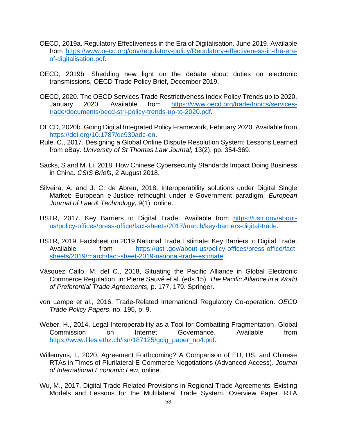- OECD, 2019a. Regulatory Effectiveness in the Era of Digitalisation, June 2019. Available from [https://www.oecd.org/gov/regulatory-policy/Regulatory-effectiveness-in-the-era](https://www.oecd.org/gov/regulatory-policy/Regulatory-effectiveness-in-the-era-of-digitalisation.pdf)[of-digitalisation.pdf.](https://www.oecd.org/gov/regulatory-policy/Regulatory-effectiveness-in-the-era-of-digitalisation.pdf)
- OECD, 2019b. Shedding new light on the debate about duties on electronic transmissions, OECD Trade Policy Brief, December 2019.
- OECD, 2020. The OECD Services Trade Restrictiveness Index Policy Trends up to 2020, January 2020. Available from [https://www.oecd.org/trade/topics/services](https://www.oecd.org/trade/topics/services-trade/documents/oecd-stri-policy-trends-up-to-2020.pdf)[trade/documents/oecd-stri-policy-trends-up-to-2020.pdf.](https://www.oecd.org/trade/topics/services-trade/documents/oecd-stri-policy-trends-up-to-2020.pdf)
- OECD, 2020b. Going Digital Integrated Policy Framework, February 2020. Available from [https://doi.org/10.1787/dc930adc-en.](https://doi.org/10.1787/dc930adc-en)
- Rule, C., 2017. Designing a Global Online Dispute Resolution System: Lessons Learned from eBay. *University of St Thomas Law Journal,* 13(2), pp. 354-369.
- Sacks, S and M. Li, 2018. How Chinese Cybersecurity Standards Impact Doing Business in China. *CSIS Briefs*, 2 August 2018.
- Silveira, A. and J. C. de Abreu, 2018. Interoperability solutions under Digital Single Market: European e-Justice rethought under e-Government paradigm. *European Journal of Law & Technology,* 9(1), online.
- USTR, 2017. Key Barriers to Digital Trade. Available from [https://ustr.gov/about](https://ustr.gov/about-us/policy-offices/press-office/fact-sheets/2017/march/key-barriers-digital-trade)[us/policy-offices/press-office/fact-sheets/2017/march/key-barriers-digital-trade.](https://ustr.gov/about-us/policy-offices/press-office/fact-sheets/2017/march/key-barriers-digital-trade)
- USTR, 2019. Factsheet on 2019 National Trade Estimate: Key Barriers to Digital Trade. Available from [https://ustr.gov/about-us/policy-offices/press-office/fact](https://ustr.gov/about-us/policy-offices/press-office/fact-sheets/2019/march/fact-sheet-2019-national-trade-estimate)[sheets/2019/march/fact-sheet-2019-national-trade-estimate.](https://ustr.gov/about-us/policy-offices/press-office/fact-sheets/2019/march/fact-sheet-2019-national-trade-estimate)
- Vásquez Callo, M. del C., 2018, Situating the Pacific Alliance in Global Electronic Commerce Regulation, in: Pierre Sauvé et al. (eds.15). *The Pacific Alliance in a World of Preferential Trade Agreements,* p. 177, 179. Springer.
- von Lampe et al., 2016. Trade-Related International Regulatory Co-operation. *OECD Trade Policy Papers*, no. 195, p. 9.
- Weber, H., 2014. Legal Interoperability as a Tool for Combatting Fragmentation. Global Commission on Internet Governance. Available from [https://www.files.ethz.ch/isn/187125/gcig\\_paper\\_no4.pdf.](https://www.files.ethz.ch/isn/187125/gcig_paper_no4.pdf)
- Willemyns, I., 2020. Agreement Forthcoming? A Comparison of EU, US, and Chinese RTAs in Times of Plurilateral E-Commerce Negotiations (Advanced Access). *Journal of International Economic Law,* online.
- Wu, M., 2017. Digital Trade-Related Provisions in Regional Trade Agreements: Existing Models and Lessons for the Multilateral Trade System. Overview Paper, RTA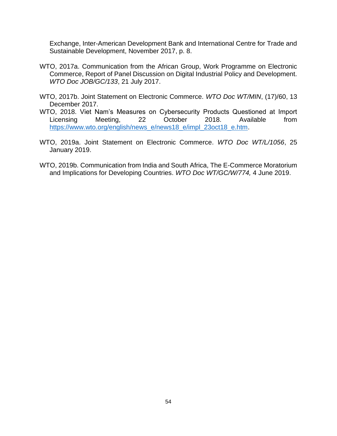Exchange, Inter-American Development Bank and International Centre for Trade and Sustainable Development, November 2017, p. 8.

- WTO, 2017a. Communication from the African Group, Work Programme on Electronic Commerce, Report of Panel Discussion on Digital Industrial Policy and Development. *WTO Doc JOB/GC/133*, 21 July 2017.
- WTO, 2017b. Joint Statement on Electronic Commerce. *WTO Doc WT/MIN*, (17)/60, 13 December 2017.
- WTO, 2018. Viet Nam's Measures on Cybersecurity Products Questioned at Import Licensing Meeting, 22 October 2018. Available from [https://www.wto.org/english/news\\_e/news18\\_e/impl\\_23oct18\\_e.htm.](https://www.wto.org/english/news_e/news18_e/impl_23oct18_e.htm)
- WTO, 2019a. Joint Statement on Electronic Commerce. *WTO Doc WT/L/1056*, 25 January 2019.
- WTO, 2019b. Communication from India and South Africa, The E-Commerce Moratorium and Implications for Developing Countries. *WTO Doc WT/GC/W/774,* 4 June 2019.